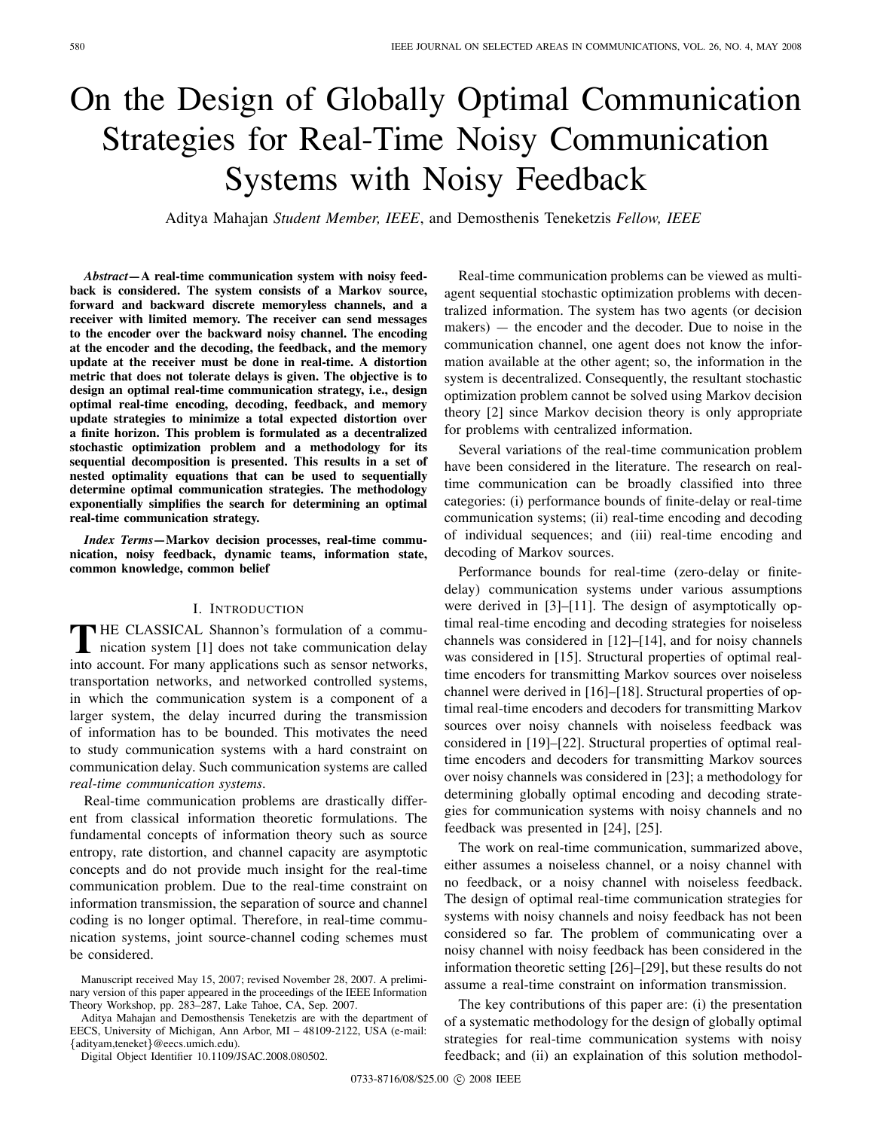# On the Design of Globally Optimal Communication Strategies for Real-Time Noisy Communication Systems with Noisy Feedback

Aditya Mahajan *Student Member, IEEE*, and Demosthenis Teneketzis *Fellow, IEEE*

*Abstract***—A real-time communication system with noisy feedback is considered. The system consists of a Markov source, forward and backward discrete memoryless channels, and a receiver with limited memory. The receiver can send messages to the encoder over the backward noisy channel. The encoding at the encoder and the decoding, the feedback, and the memory update at the receiver must be done in real-time. A distortion metric that does not tolerate delays is given. The objective is to design an optimal real-time communication strategy, i.e., design optimal real-time encoding, decoding, feedback, and memory update strategies to minimize a total expected distortion over a finite horizon. This problem is formulated as a decentralized stochastic optimization problem and a methodology for its sequential decomposition is presented. This results in a set of nested optimality equations that can be used to sequentially determine optimal communication strategies. The methodology exponentially simplifies the search for determining an optimal real-time communication strategy.**

*Index Terms***—Markov decision processes, real-time communication, noisy feedback, dynamic teams, information state, common knowledge, common belief**

#### I. INTRODUCTION

THE CLASSICAL Shannon's formulation of a communication system [1] does not take communication delay HE CLASSICAL Shannon's formulation of a commuinto account. For many applications such as sensor networks, transportation networks, and networked controlled systems, in which the communication system is a component of a larger system, the delay incurred during the transmission of information has to be bounded. This motivates the need to study communication systems with a hard constraint on communication delay. Such communication systems are called *real-time communication systems*.

Real-time communication problems are drastically different from classical information theoretic formulations. The fundamental concepts of information theory such as source entropy, rate distortion, and channel capacity are asymptotic concepts and do not provide much insight for the real-time communication problem. Due to the real-time constraint on information transmission, the separation of source and channel coding is no longer optimal. Therefore, in real-time communication systems, joint source-channel coding schemes must be considered.

Aditya Mahajan and Demosthensis Teneketzis are with the department of EECS, University of Michigan, Ann Arbor, MI – 48109-2122, USA (e-mail: {adityam,teneket}@eecs.umich.edu).

Digital Object Identifier 10.1109/JSAC.2008.080502.

Real-time communication problems can be viewed as multiagent sequential stochastic optimization problems with decentralized information. The system has two agents (or decision makers) — the encoder and the decoder. Due to noise in the communication channel, one agent does not know the information available at the other agent; so, the information in the system is decentralized. Consequently, the resultant stochastic optimization problem cannot be solved using Markov decision theory [2] since Markov decision theory is only appropriate for problems with centralized information.

Several variations of the real-time communication problem have been considered in the literature. The research on realtime communication can be broadly classified into three categories: (i) performance bounds of finite-delay or real-time communication systems; (ii) real-time encoding and decoding of individual sequences; and (iii) real-time encoding and decoding of Markov sources.

Performance bounds for real-time (zero-delay or finitedelay) communication systems under various assumptions were derived in [3]–[11]. The design of asymptotically optimal real-time encoding and decoding strategies for noiseless channels was considered in [12]–[14], and for noisy channels was considered in [15]. Structural properties of optimal realtime encoders for transmitting Markov sources over noiseless channel were derived in [16]–[18]. Structural properties of optimal real-time encoders and decoders for transmitting Markov sources over noisy channels with noiseless feedback was considered in [19]–[22]. Structural properties of optimal realtime encoders and decoders for transmitting Markov sources over noisy channels was considered in [23]; a methodology for determining globally optimal encoding and decoding strategies for communication systems with noisy channels and no feedback was presented in [24], [25].

The work on real-time communication, summarized above, either assumes a noiseless channel, or a noisy channel with no feedback, or a noisy channel with noiseless feedback. The design of optimal real-time communication strategies for systems with noisy channels and noisy feedback has not been considered so far. The problem of communicating over a noisy channel with noisy feedback has been considered in the information theoretic setting [26]–[29], but these results do not assume a real-time constraint on information transmission.

The key contributions of this paper are: (i) the presentation of a systematic methodology for the design of globally optimal strategies for real-time communication systems with noisy feedback; and (ii) an explaination of this solution methodol-

Manuscript received May 15, 2007; revised November 28, 2007. A preliminary version of this paper appeared in the proceedings of the IEEE Information Theory Workshop, pp. 283–287, Lake Tahoe, CA, Sep. 2007.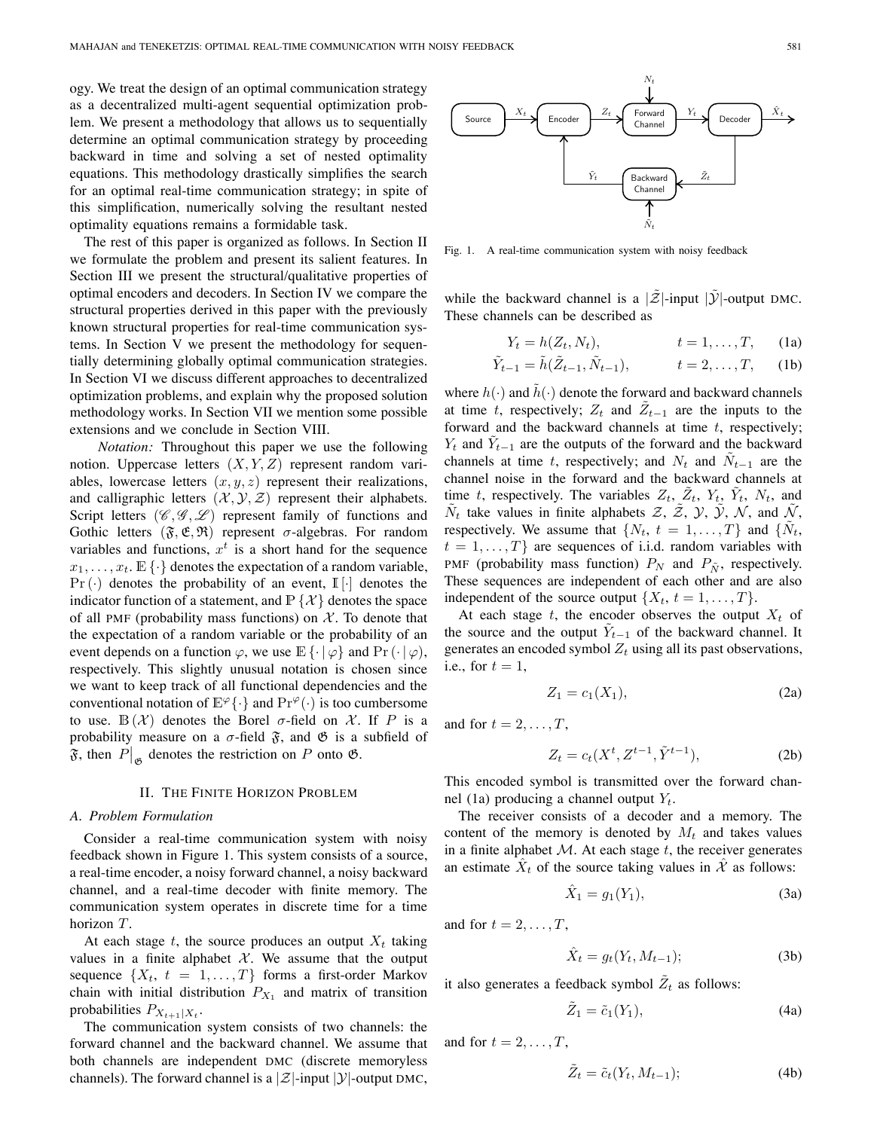ogy. We treat the design of an optimal communication strategy as a decentralized multi-agent sequential optimization problem. We present a methodology that allows us to sequentially determine an optimal communication strategy by proceeding backward in time and solving a set of nested optimality equations. This methodology drastically simplifies the search for an optimal real-time communication strategy; in spite of this simplification, numerically solving the resultant nested optimality equations remains a formidable task.

The rest of this paper is organized as follows. In Section II we formulate the problem and present its salient features. In Section III we present the structural/qualitative properties of optimal encoders and decoders. In Section IV we compare the structural properties derived in this paper with the previously known structural properties for real-time communication systems. In Section V we present the methodology for sequentially determining globally optimal communication strategies. In Section VI we discuss different approaches to decentralized optimization problems, and explain why the proposed solution methodology works. In Section VII we mention some possible extensions and we conclude in Section VIII.

*Notation:* Throughout this paper we use the following notion. Uppercase letters  $(X, Y, Z)$  represent random variables, lowercase letters  $(x, y, z)$  represent their realizations, and calligraphic letters  $(\mathcal{X}, \mathcal{Y}, \mathcal{Z})$  represent their alphabets. Script letters  $(\mathscr{C}, \mathscr{G}, \mathscr{L})$  represent family of functions and Gothic letters  $(\mathfrak{F}, \mathfrak{E}, \mathfrak{R})$  represent  $\sigma$ -algebras. For random variables and functions,  $x^t$  is a short hand for the sequence  $x_1, \ldots, x_t$ .  $\mathbb{E}\left\{\cdot\right\}$  denotes the expectation of a random variable,  $Pr(\cdot)$  denotes the probability of an event,  $\mathbb{I}[\cdot]$  denotes the indicator function of a statement, and  $\mathbb{P} \{ \mathcal{X} \}$  denotes the space of all PMF (probability mass functions) on  $X$ . To denote that the expectation of a random variable or the probability of an event depends on a function  $\varphi$ , we use  $\mathbb{E}\{\cdot | \varphi\}$  and  $\Pr(\cdot | \varphi)$ , respectively. This slightly unusual notation is chosen since we want to keep track of all functional dependencies and the conventional notation of  $\mathbb{E}^{\varphi}\{\cdot\}$  and  $\Pr^{\varphi}(\cdot)$  is too cumbersome to use.  $\mathbb{B}(\mathcal{X})$  denotes the Borel  $\sigma$ -field on  $\mathcal{X}$ . If P is a probability measure on a  $\sigma$ -field  $\tilde{\mathfrak{F}}$ , and  $\mathfrak{G}$  is a subfield of  $\mathfrak{F}$ , then  $P|_{\mathfrak{G}}$  denotes the restriction on P onto  $\mathfrak{G}$ .

# II. THE FINITE HORIZON PROBLEM

#### *A. Problem Formulation*

Consider a real-time communication system with noisy feedback shown in Figure 1. This system consists of a source, a real-time encoder, a noisy forward channel, a noisy backward channel, and a real-time decoder with finite memory. The communication system operates in discrete time for a time horizon  $T$ .

At each stage  $t$ , the source produces an output  $X_t$  taking values in a finite alphabet  $X$ . We assume that the output sequence  $\{X_t, t = 1, ..., T\}$  forms a first-order Markov chain with initial distribution  $P_{X_1}$  and matrix of transition probabilities  $P_{X_{t+1}|X_t}$ .

The communication system consists of two channels: the forward channel and the backward channel. We assume that both channels are independent DMC (discrete memoryless channels). The forward channel is a  $|\mathcal{Z}|$ -input  $|\mathcal{Y}|$ -output DMC,



Fig. 1. A real-time communication system with noisy feedback

while the backward channel is a  $|\mathcal{Z}|$ -input  $|\mathcal{Y}|$ -output DMC. These channels can be described as

$$
Y_t = h(Z_t, N_t), \qquad t = 1, \dots, T, \qquad \text{(1a)}
$$

$$
\tilde{Y}_{t-1} = \tilde{h}(\tilde{Z}_{t-1}, \tilde{N}_{t-1}),
$$
\n $t = 2, ..., T,$ \n(1b)

where  $h(\cdot)$  and  $\tilde{h}(\cdot)$  denote the forward and backward channels at time t, respectively;  $Z_t$  and  $\tilde{Z}_{t-1}$  are the inputs to the forward and the backward channels at time  $t$ , respectively;  $Y_t$  and  $\tilde{Y}_{t-1}$  are the outputs of the forward and the backward channels at time t, respectively; and  $N_t$  and  $\tilde{N}_{t-1}$  are the channel noise in the forward and the backward channels at time t, respectively. The variables  $Z_t$ ,  $\tilde{Z}_t$ ,  $Y_t$ ,  $\tilde{Y}_t$ ,  $N_t$ , and  $\tilde{N}_t$  take values in finite alphabets  $\mathcal{Z}, \tilde{\mathcal{Z}}, \mathcal{Y}, \tilde{\mathcal{Y}}, \mathcal{N},$  and  $\tilde{\mathcal{N}},$ respectively. We assume that  $\{N_t, t = 1, ..., T\}$  and  $\{\tilde{N}_t,$  $t = 1, \ldots, T$  are sequences of i.i.d. random variables with PMF (probability mass function)  $P_N$  and  $P_{\tilde{N}}$ , respectively. These sequences are independent of each other and are also independent of the source output  $\{X_t, t = 1, \ldots, T\}$ .

At each stage  $t$ , the encoder observes the output  $X_t$  of the source and the output  $\tilde{Y}_{t-1}$  of the backward channel. It generates an encoded symbol  $Z_t$  using all its past observations, i.e., for  $t = 1$ ,

$$
Z_1 = c_1(X_1), \t\t(2a)
$$

and for  $t = 2, \ldots, T$ ,

$$
Z_t = c_t(X^t, Z^{t-1}, \tilde{Y}^{t-1}),
$$
 (2b)

This encoded symbol is transmitted over the forward channel (1a) producing a channel output  $Y_t$ .

The receiver consists of a decoder and a memory. The content of the memory is denoted by  $M_t$  and takes values in a finite alphabet  $M$ . At each stage  $t$ , the receiver generates an estimate  $\hat{X}_t$  of the source taking values in  $\hat{\mathcal{X}}$  as follows:

$$
\hat{X}_1 = g_1(Y_1),
$$
 (3a)

and for  $t = 2, \ldots, T$ ,

$$
\hat{X}_t = g_t(Y_t, M_{t-1});\tag{3b}
$$

it also generates a feedback symbol  $\tilde{Z}_t$  as follows:

$$
\tilde{Z}_1 = \tilde{c}_1(Y_1),\tag{4a}
$$

and for  $t = 2, \ldots, T$ ,

$$
\tilde{Z}_t = \tilde{c}_t(Y_t, M_{t-1});\tag{4b}
$$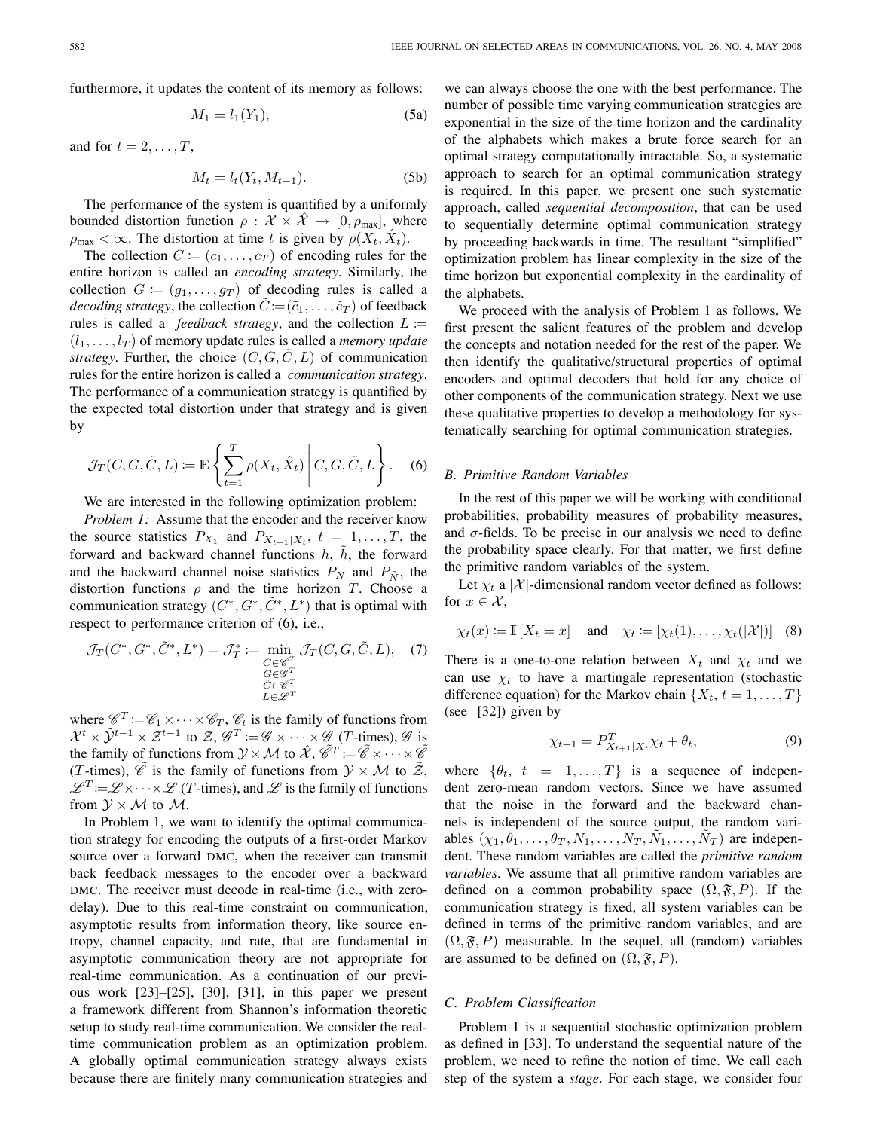furthermore, it updates the content of its memory as follows:

$$
M_1 = l_1(Y_1),\tag{5a}
$$

and for  $t = 2, \ldots, T$ ,

$$
M_t = l_t(Y_t, M_{t-1}).
$$
\n(5b)

The performance of the system is quantified by a uniformly bounded distortion function  $\rho : \mathcal{X} \times \hat{\mathcal{X}} \rightarrow [0, \rho_{\text{max}}]$ , where  $\rho_{\text{max}} < \infty$ . The distortion at time t is given by  $\rho(X_t, \hat{X}_t)$ .

The collection  $C := (c_1, \ldots, c_T)$  of encoding rules for the entire horizon is called an *encoding strategy*. Similarly, the collection  $G := (g_1, \ldots, g_T)$  of decoding rules is called a *decoding strategy*, the collection  $\tilde{C} := (\tilde{c}_1, \ldots, \tilde{c}_T)$  of feedback rules is called a *feedback strategy*, and the collection  $L :=$  $(l_1,\ldots,l_T)$  of memory update rules is called a *memory update strategy*. Further, the choice  $(C, G, C, L)$  of communication rules for the entire horizon is called a *communication strategy*. The performance of a communication strategy is quantified by the expected total distortion under that strategy and is given by

$$
\mathcal{J}_T(C, G, \tilde{C}, L) := \mathbb{E}\left\{ \sum_{t=1}^T \rho(X_t, \hat{X}_t) \middle| C, G, \tilde{C}, L \right\}.
$$
 (6)

We are interested in the following optimization problem:

*Problem 1:* Assume that the encoder and the receiver know the source statistics  $P_{X_1}$  and  $P_{X_{t+1}|X_t}$ ,  $t = 1, \ldots, T$ , the forward and backward channel functions  $h$ ,  $\tilde{h}$ , the forward and the backward channel noise statistics  $P_N$  and  $P_{\tilde{N}}$ , the distortion functions  $\rho$  and the time horizon T. Choose a communication strategy  $(C^*, G^*, \tilde{C}^*, L^*)$  that is optimal with respect to performance criterion of (6), i.e.,

$$
\mathcal{J}_T(C^*, G^*, \tilde{C}^*, L^*) = \mathcal{J}_T^* := \min_{\substack{C \in \mathscr{C}^T \\ G \in \mathscr{G}^T \\ \tilde{C} \in \tilde{\mathscr{C}}^T \\ L \in \mathscr{L}^T}} \mathcal{J}_T(C, G, \tilde{C}, L), \quad (7)
$$

where  $\mathscr{C}^T := \mathscr{C}_1 \times \cdots \times \mathscr{C}_T$ ,  $\mathscr{C}_t$  is the family of functions from  $\mathcal{X}^t \times \tilde{\mathcal{Y}}^{t-1} \times \mathcal{Z}^{t-1}$  to  $\mathcal{Z}, \mathscr{G}^T := \mathscr{G} \times \cdots \times \mathscr{G}$  (*T*-times),  $\mathscr{G}$  is the family of functions from  $\mathcal{Y} \times \mathcal{M}$  to  $\hat{\mathcal{X}}, \hat{\mathcal{C}}^T := \hat{\mathcal{C}} \times \cdots \times \hat{\mathcal{C}}^T$ (T-times),  $\tilde{\mathscr{C}}$  is the family of functions from  $\mathcal{Y} \times \mathcal{M}$  to  $\tilde{\mathcal{Z}}$ ,  $\mathscr{L}^T = \mathscr{L} \times \cdots \times \mathscr{L}$  (*T*-times), and  $\mathscr{L}$  is the family of functions from  $\mathcal{Y} \times \mathcal{M}$  to  $\mathcal{M}$ .

In Problem 1, we want to identify the optimal communication strategy for encoding the outputs of a first-order Markov source over a forward DMC, when the receiver can transmit back feedback messages to the encoder over a backward DMC. The receiver must decode in real-time (i.e., with zerodelay). Due to this real-time constraint on communication, asymptotic results from information theory, like source entropy, channel capacity, and rate, that are fundamental in asymptotic communication theory are not appropriate for real-time communication. As a continuation of our previous work [23]–[25], [30], [31], in this paper we present a framework different from Shannon's information theoretic setup to study real-time communication. We consider the realtime communication problem as an optimization problem. A globally optimal communication strategy always exists because there are finitely many communication strategies and

we can always choose the one with the best performance. The number of possible time varying communication strategies are exponential in the size of the time horizon and the cardinality of the alphabets which makes a brute force search for an optimal strategy computationally intractable. So, a systematic approach to search for an optimal communication strategy is required. In this paper, we present one such systematic approach, called *sequential decomposition*, that can be used to sequentially determine optimal communication strategy by proceeding backwards in time. The resultant "simplified" optimization problem has linear complexity in the size of the time horizon but exponential complexity in the cardinality of the alphabets.

We proceed with the analysis of Problem 1 as follows. We first present the salient features of the problem and develop the concepts and notation needed for the rest of the paper. We then identify the qualitative/structural properties of optimal encoders and optimal decoders that hold for any choice of other components of the communication strategy. Next we use these qualitative properties to develop a methodology for systematically searching for optimal communication strategies.

# *B. Primitive Random Variables*

In the rest of this paper we will be working with conditional probabilities, probability measures of probability measures, and  $\sigma$ -fields. To be precise in our analysis we need to define the probability space clearly. For that matter, we first define the primitive random variables of the system.

Let  $\chi_t$  a  $|\mathcal{X}|$ -dimensional random vector defined as follows: for  $x \in \mathcal{X}$ ,

$$
\chi_t(x) := \mathbb{I}[X_t = x]
$$
 and  $\chi_t := [\chi_t(1), \ldots, \chi_t(|X|)]$  (8)

There is a one-to-one relation between  $X_t$  and  $X_t$  and we can use  $\chi_t$  to have a martingale representation (stochastic difference equation) for the Markov chain  $\{X_t, t = 1, \ldots, T\}$ (see [32]) given by

$$
\chi_{t+1} = P_{X_{t+1}|X_t}^T \chi_t + \theta_t, \tag{9}
$$

where  $\{\theta_t, t = 1, ..., T\}$  is a sequence of independent zero-mean random vectors. Since we have assumed that the noise in the forward and the backward channels is independent of the source output, the random variables  $(\chi_1, \theta_1, \ldots, \theta_T, N_1, \ldots, N_T, \tilde{N}_1, \ldots, \tilde{N}_T)$  are independent. These random variables are called the *primitive random variables*. We assume that all primitive random variables are defined on a common probability space  $(\Omega, \mathfrak{F}, P)$ . If the communication strategy is fixed, all system variables can be defined in terms of the primitive random variables, and are  $(\Omega, \mathfrak{F}, P)$  measurable. In the sequel, all (random) variables are assumed to be defined on  $(\Omega, \mathfrak{F}, P)$ .

#### *C. Problem Classification*

Problem 1 is a sequential stochastic optimization problem as defined in [33]. To understand the sequential nature of the problem, we need to refine the notion of time. We call each step of the system a *stage*. For each stage, we consider four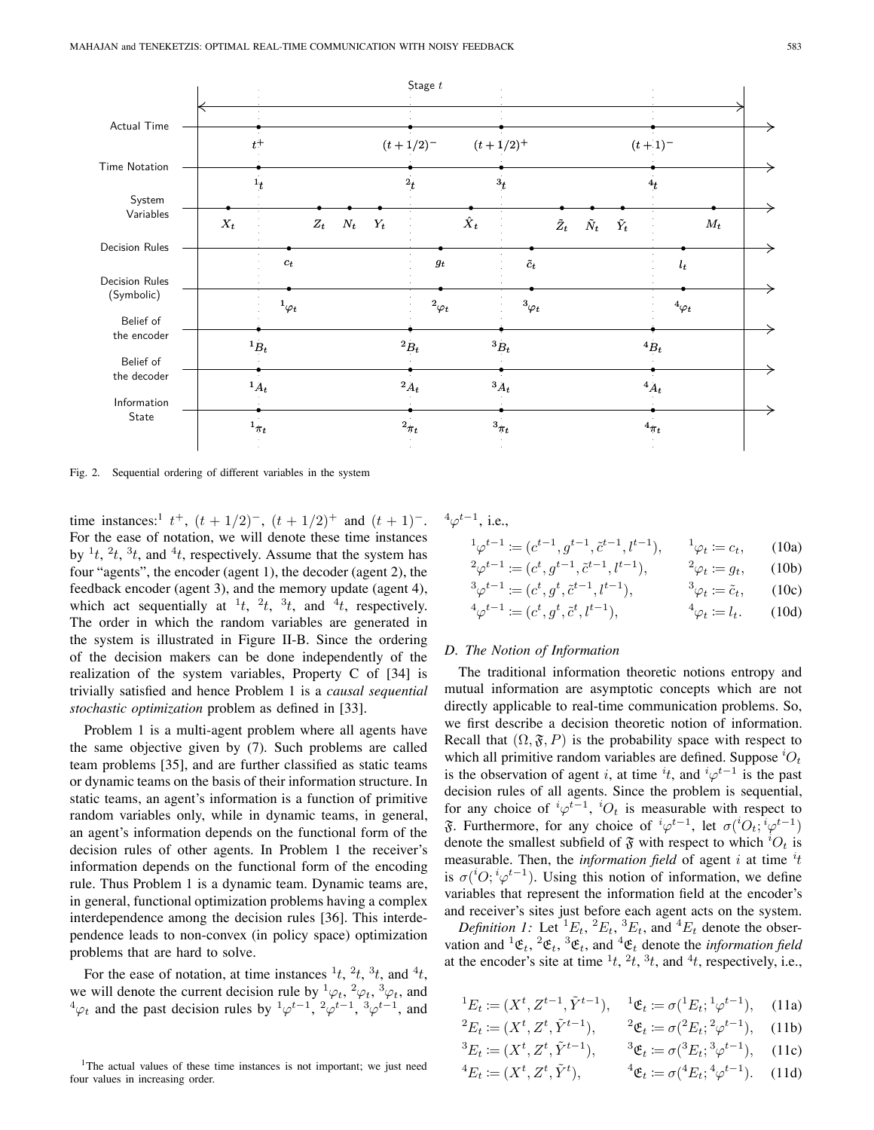

Fig. 2. Sequential ordering of different variables in the system

time instances:<sup>1</sup>  $t^+$ ,  $(t + 1/2)^-$ ,  $(t + 1/2)^+$  and  $(t + 1)^-$ . For the ease of notation, we will denote these time instances by  $\frac{1}{t}$ ,  $\frac{2}{t}$ ,  $\frac{3}{t}$ , and  $\frac{4}{t}$ , respectively. Assume that the system has four "agents", the encoder (agent 1), the decoder (agent 2), the feedback encoder (agent 3), and the memory update (agent 4), which act sequentially at  $(t, 2t, 3t, 3t)$  and  $(4t, 1)$  respectively. The order in which the random variables are generated in the system is illustrated in Figure II-B. Since the ordering of the decision makers can be done independently of the realization of the system variables, Property C of [34] is trivially satisfied and hence Problem 1 is a *causal sequential stochastic optimization* problem as defined in [33].

Problem 1 is a multi-agent problem where all agents have the same objective given by (7). Such problems are called team problems [35], and are further classified as static teams or dynamic teams on the basis of their information structure. In static teams, an agent's information is a function of primitive random variables only, while in dynamic teams, in general, an agent's information depends on the functional form of the decision rules of other agents. In Problem 1 the receiver's information depends on the functional form of the encoding rule. Thus Problem 1 is a dynamic team. Dynamic teams are, in general, functional optimization problems having a complex interdependence among the decision rules [36]. This interdependence leads to non-convex (in policy space) optimization problems that are hard to solve.

For the ease of notation, at time instances  $\frac{1}{t}$ ,  $\frac{2}{t}$ ,  $\frac{3}{t}$ , and  $\frac{4}{t}$ , we will denote the current decision rule by  ${}^1\varphi_t$ ,  ${}^2\varphi_t$ ,  ${}^3\varphi_t$ , and  $^4\varphi_t$  and the past decision rules by  $^1\varphi^{t-1}$ ,  $^2\varphi^{t-1}$ ,  $^3\varphi^{t-1}$ , and

$$
{}^4\varphi^{t-1}, \, \text{i.e.,}
$$

$$
{}^{1}\varphi^{t-1} := (c^{t-1}, g^{t-1}, \tilde{c}^{t-1}, l^{t-1}), \qquad {}^{1}\varphi_t := c_t, \qquad (10a)
$$

$$
{}^{2}\varphi^{t-1} := (c^{t}, g^{t-1}, \tilde{c}^{t-1}, l^{t-1}), \qquad {}^{2}\varphi_{t} := g_{t}, \qquad (10b)
$$
  

$$
{}^{3}\varphi^{t-1} := (c^{t}, g^{t}, \tilde{c}^{t-1}, l^{t-1}), \qquad {}^{3}\varphi_{t} := \tilde{c}_{t}, \qquad (10c)
$$

$$
{}^{3}\varphi^{t-1} \coloneqq (c^t, g^t, \tilde{c}^{t-1}, l^{t-1}), \qquad {}^{3}\varphi_t \coloneqq \tilde{c}_t, \qquad (10c)
$$
  

$$
{}^{4}\varphi^{t-1} \coloneqq (c^t, g^t, \tilde{c}^t, l^{t-1}), \qquad {}^{4}\varphi_t \coloneqq l_t. \qquad (10d)
$$

#### *D. The Notion of Information*

The traditional information theoretic notions entropy and mutual information are asymptotic concepts which are not directly applicable to real-time communication problems. So, we first describe a decision theoretic notion of information. Recall that  $(\Omega, \mathfrak{F}, P)$  is the probability space with respect to which all primitive random variables are defined. Suppose  ${}^{i}O_{t}$ is the observation of agent *i*, at time  $^{i}t$ , and  $^{i}\varphi^{t-1}$  is the past decision rules of all agents. Since the problem is sequential, for any choice of  ${}^{i}\varphi^{t-1}$ ,  ${}^{i}O_{t}$  is measurable with respect to  $\mathfrak F$ . Furthermore, for any choice of  ${}^{i}\varphi^{t-1}$ , let  $\sigma({}^{i}O_{t};{}^{i}\varphi^{t-1})$ denote the smallest subfield of  $\mathfrak{F}$  with respect to which  ${}^{i}O_{t}$  is measurable. Then, the *information field* of agent *i* at time  $i$ <sup>*t*</sup> is  $\sigma({}^{i}O; {}^{i}\varphi^{t-1})$ . Using this notion of information, we define variables that represent the information field at the encoder's and receiver's sites just before each agent acts on the system.

*Definition 1:* Let  ${}^{1}E_t$ ,  ${}^{2}E_t$ ,  ${}^{3}E_t$ , and  ${}^{4}E_t$  denote the observation and  ${}^{1}\mathfrak{E}_{t}$ ,  ${}^{2}\mathfrak{E}_{t}$ ,  ${}^{3}\mathfrak{E}_{t}$ , and  ${}^{4}\mathfrak{E}_{t}$  denote the *information field* at the encoder's site at time  $\frac{1}{t}$ ,  $\frac{2}{t}$ ,  $\frac{3}{t}$ , and  $\frac{4}{t}$ , respectively, i.e.,

$$
{}^{1}E_{t} := (X^{t}, Z^{t-1}, \tilde{Y}^{t-1}), \quad {}^{1}\mathfrak{E}_{t} := \sigma({}^{1}E_{t}; {}^{1}\varphi^{t-1}), \quad (11a)
$$
  

$$
{}^{2}E_{t} := (X^{t}, Z^{t}, \tilde{Y}^{t-1}), \quad {}^{2}\mathfrak{E}_{t} := \sigma({}^{2}E_{t}; {}^{2}\varphi^{t-1}), \quad (11b)
$$

$$
{}^{3}E_{t} := (X^{t}, Z^{t}, \tilde{Y}^{t-1}), \qquad {}^{3}\mathfrak{E}_{t} := \sigma({}^{3}E_{t}; {}^{3}\varphi^{t-1}), \qquad (11c)
$$
  

$$
{}^{4}E_{t} := (X^{t}, Z^{t}, \tilde{Y}^{t}), \qquad {}^{4}\mathfrak{E}_{t} := \sigma({}^{4}E_{t}; {}^{4}\varphi^{t-1}). \qquad (11d)
$$

<sup>&</sup>lt;sup>1</sup>The actual values of these time instances is not important; we just need four values in increasing order.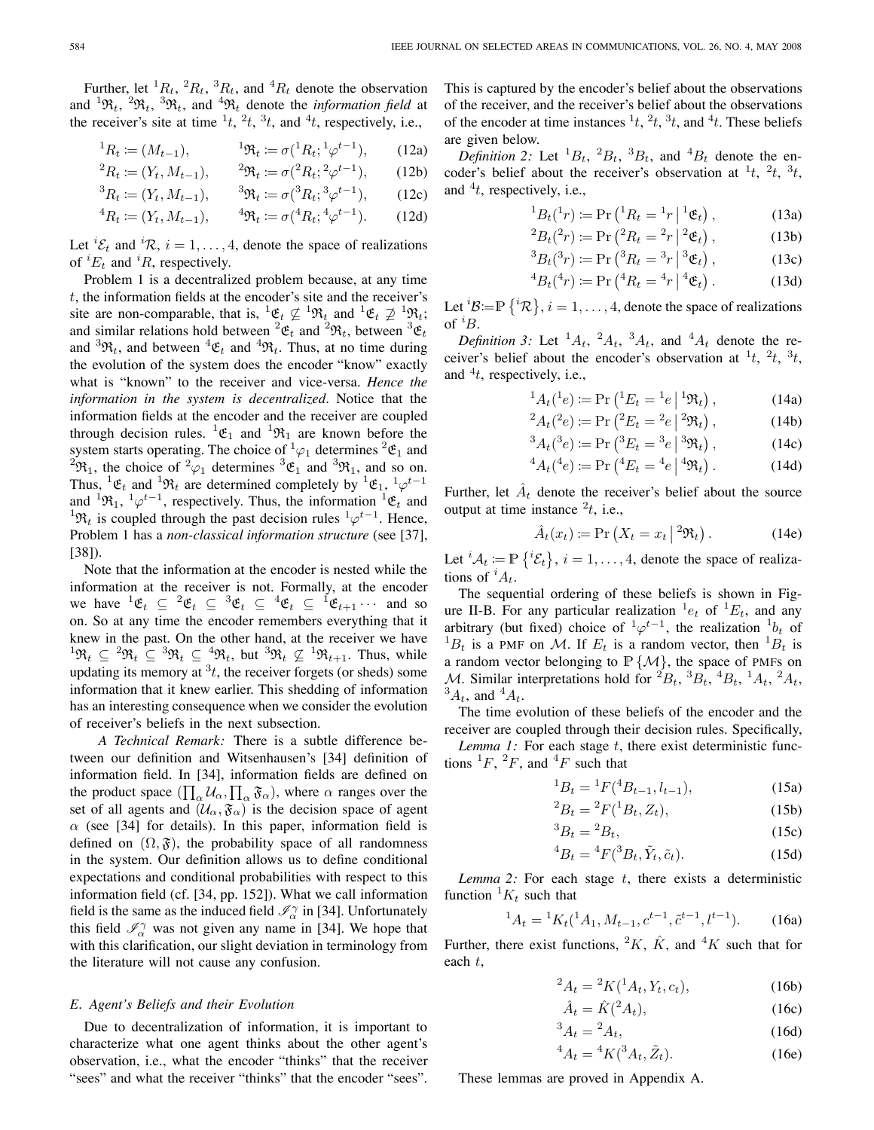Further, let  ${}^{1}R_{t}$ ,  ${}^{2}R_{t}$ ,  ${}^{3}R_{t}$ , and  ${}^{4}R_{t}$  denote the observation and  ${}^{1}\mathfrak{R}_{t}$ ,  ${}^{2}\mathfrak{R}_{t}$ ,  ${}^{3}\mathfrak{R}_{t}$ , and  ${}^{4}\mathfrak{R}_{t}$  denote the *information field* at the receiver's site at time  $\frac{1}{t}$ ,  $\frac{2}{t}$ ,  $\frac{3}{t}$ , and  $\frac{4}{t}$ , respectively, i.e.,

$$
{}^{1}R_{t} := (M_{t-1}), \qquad {}^{1} \mathfrak{R}_{t} := \sigma({}^{1}R_{t}; {}^{1} \varphi^{t-1}), \qquad (12a)
$$

$$
{}^{2}R_{t} := (Y_{t}, M_{t-1}), \qquad {}^{2}\mathfrak{R}_{t} := \sigma({}^{2}R_{t}; {}^{2}\varphi^{t-1}), \qquad (12b)
$$

$$
{}^{3}R_{t} \coloneqq (Y_{t}, M_{t-1}), \qquad {}^{3}\mathfrak{R}_{t} \coloneqq \sigma({}^{3}R_{t}; {}^{3}\varphi^{t-1}), \qquad (12c)
$$

$$
{}^{4}R_{t} := (Y_{t}, M_{t-1}), \qquad {}^{4}\mathfrak{R}_{t} := \sigma({}^{4}R_{t}; {}^{4}\varphi^{t-1}). \tag{12d}
$$

Let  ${}^{i}\mathcal{E}_{t}$  and  ${}^{i}\mathcal{R}, i = 1, ..., 4$ , denote the space of realizations of  ${}^{i}E_{t}$  and  ${}^{i}R$ , respectively.

Problem 1 is a decentralized problem because, at any time  $t$ , the information fields at the encoder's site and the receiver's site are non-comparable, that is,  ${}^1 \mathfrak{E}_t \not\subseteq {}^1 \mathfrak{R}_t$  and  ${}^1 \mathfrak{E}_t \not\supseteq {}^1 \mathfrak{R}_t$ ; and similar relations hold between  ${}^2 \mathfrak{E}_t$  and  ${}^2 \mathfrak{R}_t$ , between  ${}^3 \mathfrak{E}_t$ and  ${}^{3}\mathfrak{R}_{t}$ , and between  ${}^{4}\mathfrak{E}_{t}$  and  ${}^{4}\mathfrak{R}_{t}$ . Thus, at no time during the evolution of the system does the encoder "know" exactly what is "known" to the receiver and vice-versa. *Hence the information in the system is decentralized*. Notice that the information fields at the encoder and the receiver are coupled through decision rules.  ${}^{1}\mathfrak{E}_{1}$  and  ${}^{1}\mathfrak{R}_{1}$  are known before the system starts operating. The choice of  ${}^1\varphi_1$  determines  ${}^2\mathfrak{E}_1$  and <sup>2</sup> $\mathfrak{R}_1$ , the choice of <sup>2</sup> $\varphi_1$  determines <sup>3</sup> $\mathfrak{E}_1$  and <sup>3</sup> $\mathfrak{R}_1$ , and so on. Thus,  ${}^{1}\mathfrak{E}_{t}$  and  ${}^{1}\mathfrak{R}_{t}$  are determined completely by  ${}^{1}\mathfrak{E}_{1}$ ,  ${}^{1}\varphi^{t-1}$ and  ${}^{1}\mathfrak{R}_{1}$ ,  ${}^{1}\varphi^{t-1}$ , respectively. Thus, the information  ${}^{1}\mathfrak{E}_{t}$  and <sup>1</sup> $\mathfrak{R}_t$  is coupled through the past decision rules <sup>1</sup> $\varphi^{t-1}$ . Hence, Problem 1 has a *non-classical information structure* (see [37], [38]).

Note that the information at the encoder is nested while the information at the receiver is not. Formally, at the encoder we have  ${}^1 \mathfrak{E}_t \subseteq {}^2 \mathfrak{E}_t \subseteq {}^3 \mathfrak{E}_t \subseteq {}^4 \mathfrak{E}_t \subseteq {}^1 \mathfrak{E}_{t+1} \cdots$  and so on. So at any time the encoder remembers everything that it knew in the past. On the other hand, at the receiver we have  ${}^1\mathfrak{R}_t \subseteq {}^2\mathfrak{R}_t \subseteq {}^3\mathfrak{R}_t \subseteq {}^4\mathfrak{R}_t$ , but  ${}^3\mathfrak{R}_t \not\subseteq {}^1\mathfrak{R}_{t+1}$ . Thus, while updating its memory at  $3t$ , the receiver forgets (or sheds) some information that it knew earlier. This shedding of information has an interesting consequence when we consider the evolution of receiver's beliefs in the next subsection.

*A Technical Remark:* There is a subtle difference between our definition and Witsenhausen's [34] definition of information field. In [34], information fields are defined on the product space  $(\prod_{\alpha} \mathcal{U}_{\alpha}, \prod_{\alpha} \mathfrak{F}_{\alpha})$ , where  $\alpha$  ranges over the set of all agents and  $(\mathcal{U}_{\alpha}, \mathfrak{F}_{\alpha})$  is the decision space of agent  $\alpha$  (see [34] for details). In this paper, information field is defined on  $(\Omega, \mathfrak{F})$ , the probability space of all randomness in the system. Our definition allows us to define conditional expectations and conditional probabilities with respect to this information field (cf. [34, pp. 152]). What we call information field is the same as the induced field  $\mathcal{I}_{\alpha}^{\gamma}$  in [34]. Unfortunately this field  $\mathscr{I}_{\alpha}^{\gamma}$  was not given any name in [34]. We hope that with this clarification, our slight deviation in terminology from the literature will not cause any confusion.

#### *E. Agent's Beliefs and their Evolution*

Due to decentralization of information, it is important to characterize what one agent thinks about the other agent's observation, i.e., what the encoder "thinks" that the receiver "sees" and what the receiver "thinks" that the encoder "sees".

This is captured by the encoder's belief about the observations of the receiver, and the receiver's belief about the observations of the encoder at time instances  $\frac{1}{t}$ ,  $\frac{2}{t}$ ,  $\frac{3}{t}$ , and  $\frac{4}{t}$ . These beliefs are given below.

*Definition* 2: Let  ${}^{1}B_t$ ,  ${}^{2}B_t$ ,  ${}^{3}B_t$ , and  ${}^{4}B_t$  denote the encoder's belief about the receiver's observation at  $^1t$ ,  $^2t$ ,  $^3t$ , and  $^{4}t$ , respectively, i.e.,

$$
{}^{1}B_{t}({}^{1}r) := \Pr\left({}^{1}R_{t} = {}^{1}r \mid {}^{1}\mathfrak{E}_{t}\right),\tag{13a}
$$

$$
{}^{2}B_{t}({}^{2}r) := \Pr\left({}^{2}R_{t} = {}^{2}r \mid {}^{2}\mathfrak{E}_{t}\right),\tag{13b}
$$

$$
{}^{3}B_{t}({}^{3}r) := \Pr\left({}^{3}R_{t} = {}^{3}r \mid {}^{3}\mathfrak{E}_{t}\right),\tag{13c}
$$

$$
{}^{4}B_{t}({}^{4}r) := \Pr\left({}^{4}R_{t} = {}^{4}r \mid {}^{4}\mathfrak{E}_{t}\right). \tag{13d}
$$

Let  ${}^{i}B = \mathbb{P}\left\{ {}^{i}R \right\}$ ,  $i = 1, \ldots, 4$ , denote the space of realizations of  ${}^{i}B$ .

*Definition* 3: Let  $^1A_t$ ,  $^2A_t$ ,  $^3A_t$ , and  $^4A_t$  denote the receiver's belief about the encoder's observation at  $^1t$ ,  $^2t$ ,  $^3t$ , and  $^{4}t$ , respectively, i.e.,

$$
{}^{1}A_{t}({}^{1}e) := \Pr\left({}^{1}E_{t} = {}^{1}e \mid {}^{1}\mathfrak{R}_{t}\right),\tag{14a}
$$

$$
{}^{2}A_{t}(^{2}e) := \Pr\left({}^{2}E_{t} = {}^{2}e\left|{}^{2}\Re_{t}\right.\right),\tag{14b}
$$

$$
{}^{3}A_{t}({}^{3}e) := \Pr\left({}^{3}E_{t} = {}^{3}e\left| {}^{3}\Re_{t}\right.\right),\tag{14c}
$$

$$
{}^{4}A_{t}({}^{4}e) := \Pr\left({}^{4}E_{t} = {}^{4}e \mid {}^{4}\Re_{t}\right). \tag{14d}
$$

Further, let  $\hat{A}_t$  denote the receiver's belief about the source output at time instance  $t^2$ , i.e.,

$$
\hat{A}_t(x_t) \coloneqq \Pr\left(X_t = x_t \mid {}^2 \mathfrak{R}_t\right). \tag{14e}
$$

Let  ${}^{i}A_{t} := \mathbb{P}\left\{ {}^{i}\mathcal{E}_{t}\right\}$ ,  $i = 1, \ldots, 4$ , denote the space of realizations of  $^iA_t$ .

The sequential ordering of these beliefs is shown in Figure II-B. For any particular realization  ${}^{1}e_{t}$  of  ${}^{1}E_{t}$ , and any arbitrary (but fixed) choice of  ${}^1\varphi^{t-1}$ , the realization  ${}^1b_t$  of  ${}^{1}B_{t}$  is a PMF on M. If  $E_{t}$  is a random vector, then  ${}^{1}B_{t}$  is a random vector belonging to  $\mathbb{P} \{ \mathcal{M} \}$ , the space of PMFs on M. Similar interpretations hold for  ${}^2B_t$ ,  ${}^3B_t$ ,  ${}^4B_t$ ,  ${}^1A_t$ ,  ${}^2A_t$ ,  ${}^3A_t$ , and  ${}^4A_t$ .

The time evolution of these beliefs of the encoder and the receiver are coupled through their decision rules. Specifically,

*Lemma 1:* For each stage t, there exist deterministic functions  ${}^{1}F, {}^{2}F,$  and  ${}^{4}F$  such that

$$
{}^{1}B_{t} = {}^{1}F({}^{4}B_{t-1}, l_{t-1}), \qquad (15a)
$$

$$
{}^{2}B_{t} = {}^{2}F({}^{1}B_{t}, Z_{t}), \qquad (15b)
$$

$$
{}^{3}B_{t} = {}^{2}B_{t}, \qquad (15c)
$$

$$
{}^{4}B_{t} = {}^{4}F({}^{3}B_{t}, \tilde{Y}_{t}, \tilde{c}_{t}). \tag{15d}
$$

*Lemma 2:* For each stage  $t$ , there exists a deterministic function  ${}^1K_t$  such that

$$
{}^{1}A_{t} = {}^{1}K_{t}({}^{1}A_{1}, M_{t-1}, c^{t-1}, \tilde{c}^{t-1}, l^{t-1}).
$$
 (16a)

Further, there exist functions,  ${}^2K$ ,  $\hat{K}$ , and  ${}^4K$  such that for each t,

$$
{}^{2}A_{t} = {}^{2}K({}^{1}A_{t}, Y_{t}, c_{t}), \qquad (16b)
$$

$$
\hat{A}_t = \hat{K}(^2 A_t),\tag{16c}
$$

$$
{}^3A_t = {}^2A_t,\tag{16d}
$$

$$
{}^{4}A_{t} = {}^{4}K({}^{3}A_{t}, \tilde{Z}_{t}). \tag{16e}
$$

These lemmas are proved in Appendix A.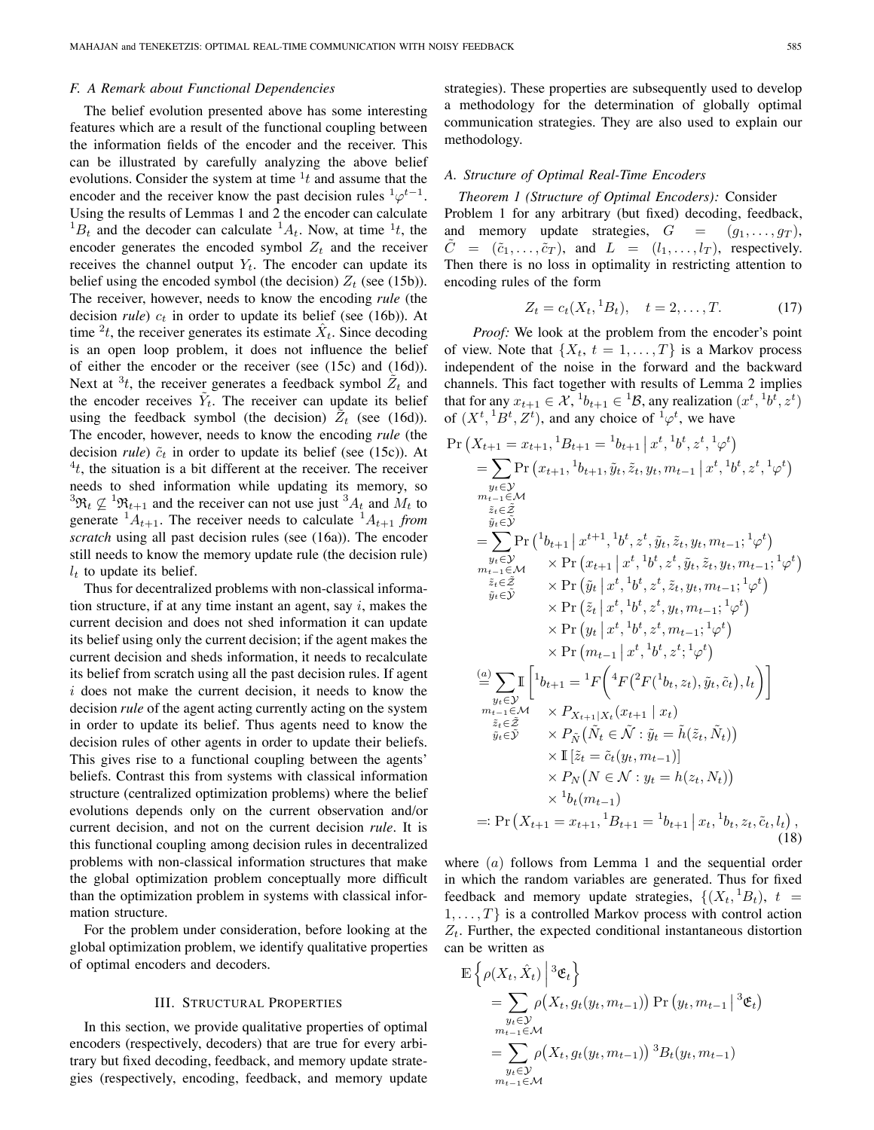# *F. A Remark about Functional Dependencies*

The belief evolution presented above has some interesting features which are a result of the functional coupling between the information fields of the encoder and the receiver. This can be illustrated by carefully analyzing the above belief evolutions. Consider the system at time  $\frac{1}{t}$  and assume that the encoder and the receiver know the past decision rules  $\frac{1}{\varphi} t^{-1}$ . Using the results of Lemmas 1 and 2 the encoder can calculate  ${}^{1}B_{t}$  and the decoder can calculate  ${}^{1}A_{t}$ . Now, at time  ${}^{1}t$ , the encoder generates the encoded symbol  $Z_t$  and the receiver receives the channel output  $Y_t$ . The encoder can update its belief using the encoded symbol (the decision)  $Z_t$  (see (15b)). The receiver, however, needs to know the encoding *rule* (the decision *rule*)  $c_t$  in order to update its belief (see (16b)). At time  $2t$ , the receiver generates its estimate  $\hat{X}_t$ . Since decoding is an open loop problem, it does not influence the belief of either the encoder or the receiver (see (15c) and (16d)). Next at  $3t$ , the receiver generates a feedback symbol  $\tilde{Z}_t$  and the encoder receives  $\tilde{Y}_t$ . The receiver can update its belief using the feedback symbol (the decision)  $\tilde{Z}_t$  (see (16d)). The encoder, however, needs to know the encoding *rule* (the decision *rule*)  $\tilde{c}_t$  in order to update its belief (see (15c)). At  $t$ , the situation is a bit different at the receiver. The receiver needs to shed information while updating its memory, so  ${}^3\mathfrak{R}_t \not\subseteq {}^1\mathfrak{R}_{t+1}$  and the receiver can not use just  ${}^3A_t$  and  $M_t$  to generate  $^{1}A_{t+1}$ . The receiver needs to calculate  $^{1}A_{t+1}$  *from scratch* using all past decision rules (see (16a)). The encoder still needs to know the memory update rule (the decision rule)  $l_t$  to update its belief.

Thus for decentralized problems with non-classical information structure, if at any time instant an agent, say i, makes the current decision and does not shed information it can update its belief using only the current decision; if the agent makes the current decision and sheds information, it needs to recalculate its belief from scratch using all the past decision rules. If agent  $i$  does not make the current decision, it needs to know the decision *rule* of the agent acting currently acting on the system in order to update its belief. Thus agents need to know the decision rules of other agents in order to update their beliefs. This gives rise to a functional coupling between the agents' beliefs. Contrast this from systems with classical information structure (centralized optimization problems) where the belief evolutions depends only on the current observation and/or current decision, and not on the current decision *rule*. It is this functional coupling among decision rules in decentralized problems with non-classical information structures that make the global optimization problem conceptually more difficult than the optimization problem in systems with classical information structure.

For the problem under consideration, before looking at the global optimization problem, we identify qualitative properties of optimal encoders and decoders.

#### III. STRUCTURAL PROPERTIES

In this section, we provide qualitative properties of optimal encoders (respectively, decoders) that are true for every arbitrary but fixed decoding, feedback, and memory update strategies (respectively, encoding, feedback, and memory update strategies). These properties are subsequently used to develop a methodology for the determination of globally optimal communication strategies. They are also used to explain our methodology.

#### *A. Structure of Optimal Real-Time Encoders*

*Theorem 1 (Structure of Optimal Encoders):* Consider Problem 1 for any arbitrary (but fixed) decoding, feedback, and memory update strategies,  $G = (g_1, \ldots, g_T)$ ,  $C = (\tilde{c}_1, \ldots, \tilde{c}_T)$ , and  $L = (l_1, \ldots, l_T)$ , respectively. Then there is no loss in optimality in restricting attention to encoding rules of the form

$$
Z_t = c_t(X_t, {}^1B_t), \quad t = 2, \dots, T. \tag{17}
$$

*Proof:* We look at the problem from the encoder's point of view. Note that  $\{X_t, t = 1, \ldots, T\}$  is a Markov process independent of the noise in the forward and the backward channels. This fact together with results of Lemma 2 implies that for any  $x_{t+1} \in \mathcal{X}$ ,  $^{1}b_{t+1} \in {}^{1}B$ , any realization  $(x^{t}, {}^{1}b^{t}, z^{t})$ of  $(X^t, {}^1B^t, Z^t)$ , and any choice of  ${}^1\varphi^t$ , we have

$$
\Pr\left(X_{t+1} = x_{t+1}, {}^{1}B_{t+1} = {}^{1}b_{t+1} | x^{t}, {}^{1}b^{t}, z^{t}, {}^{1}\varphi^{t}\right)
$$
\n
$$
= \sum_{y_{t} \in \mathcal{Y}} \Pr\left(x_{t+1}, {}^{1}b_{t+1}, \tilde{y}_{t}, \tilde{z}_{t}, y_{t}, m_{t-1} | x^{t}, {}^{1}b^{t}, z^{t}, {}^{1}\varphi^{t}\right)
$$
\n
$$
= \sum_{y_{t} \in \mathcal{Z}} \Pr\left({}^{1}b_{t+1} | x^{t+1}, {}^{1}b^{t}, z^{t}, \tilde{y}_{t}, \tilde{z}_{t}, y_{t}, m_{t-1}; {}^{1}\varphi^{t}\right)
$$
\n
$$
= \sum_{y_{t} \in \mathcal{Y}} \Pr\left({}^{1}b_{t+1} | x^{t+1}, {}^{1}b^{t}, z^{t}, \tilde{y}_{t}, \tilde{z}_{t}, y_{t}, m_{t-1}; {}^{1}\varphi^{t}\right)
$$
\n
$$
\tilde{z}_{t} \in \tilde{z} \times \Pr\left(\tilde{y}_{t} | x^{t}, {}^{1}b^{t}, z^{t}, \tilde{z}_{t}, y_{t}, m_{t-1}; {}^{1}\varphi^{t}\right)
$$
\n
$$
\times \Pr\left(\tilde{z}_{t} | x^{t}, {}^{1}b^{t}, z^{t}, y_{t}, m_{t-1}; {}^{1}\varphi^{t}\right)
$$
\n
$$
\times \Pr\left(y_{t} | x^{t}, {}^{1}b^{t}, z^{t}, m_{t-1}; {}^{1}\varphi^{t}\right)
$$
\n
$$
\times \Pr\left(m_{t-1} | x^{t}, {}^{1}b^{t}, z^{t}, \mathbb{1}\varphi^{t}\right)
$$
\n
$$
\frac{a}{\tilde{z}_{t} \in \tilde{z}} \sum_{y_{t} \in \mathcal{Y}} \mathbb{I}\left[\left[\left|b_{t+1} = {}^{1}F\left(\left(\frac{4}{F}\left(\frac{2}{F}\left(\frac{1}{b_{t}}, z_{t}), \tilde{y}_{t}, \tilde{c}_{t}\right), l_{t}\right)\right)\right|\right.\right.\right)
$$
\n
$$
\frac{a}{\tilde{z}_{t} \
$$

where  $(a)$  follows from Lemma 1 and the sequential order in which the random variables are generated. Thus for fixed feedback and memory update strategies,  $\{(X_t,{}^1B_t), t =$  $1, \ldots, T$  is a controlled Markov process with control action  $Z_t$ . Further, the expected conditional instantaneous distortion can be written as

$$
\mathbb{E}\left\{\rho(X_t, \hat{X}_t) \middle| \begin{array}{l} \mathfrak{F}_{\mathbf{t}} \\ \mathfrak{F}_{t} \end{array}\right\}
$$
\n
$$
= \sum_{\substack{y_t \in \mathcal{Y} \\ m_{t-1} \in \mathcal{M}}} \rho(X_t, g_t(y_t, m_{t-1})) \Pr(y_t, m_{t-1} \big| \mathfrak{F}_{\mathbf{t}})
$$
\n
$$
= \sum_{\substack{y_t \in \mathcal{Y} \\ m_{t-1} \in \mathcal{M}}} \rho(X_t, g_t(y_t, m_{t-1})) \mathfrak{F}_{\mathcal{H}}(y_t, m_{t-1})
$$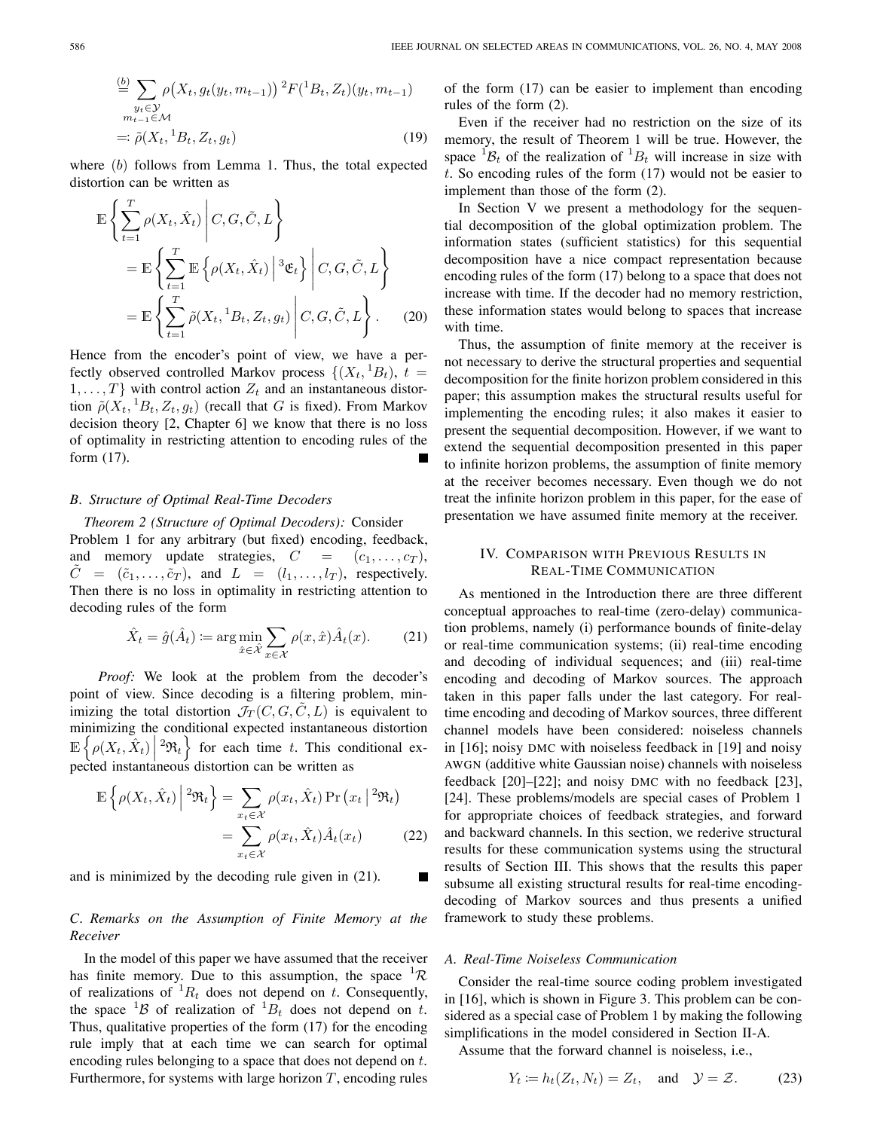$$
\stackrel{(b)}{=} \sum_{\substack{y_t \in \mathcal{Y} \\ m_{t-1} \in \mathcal{M}}} \rho\big(X_t, g_t(y_t, m_{t-1})\big)^2 F({}^1B_t, Z_t)(y_t, m_{t-1})
$$
\n
$$
= \tilde{\rho}(X_t, {}^1B_t, Z_t, g_t) \tag{19}
$$

where  $(b)$  follows from Lemma 1. Thus, the total expected distortion can be written as

$$
\mathbb{E}\left\{\sum_{t=1}^{T}\rho(X_t, \hat{X}_t)\middle| C, G, \tilde{C}, L\right\}\n= \mathbb{E}\left\{\sum_{t=1}^{T}\mathbb{E}\left\{\rho(X_t, \hat{X}_t)\middle| {}^3\mathfrak{E}_t\right\}\middle| C, G, \tilde{C}, L\right\}\n= \mathbb{E}\left\{\sum_{t=1}^{T}\tilde{\rho}(X_t, {}^1B_t, Z_t, g_t)\middle| C, G, \tilde{C}, L\right\}. (20)
$$

Hence from the encoder's point of view, we have a perfectly observed controlled Markov process  $\{(X_t, {}^1B_t), t =$  $1, \ldots, T$  with control action  $Z_t$  and an instantaneous distortion  $\tilde{\rho}(X_t, {}^1B_t, Z_t, g_t)$  (recall that G is fixed). From Markov decision theory [2, Chapter 6] we know that there is no loss of optimality in restricting attention to encoding rules of the form (17).

#### *B. Structure of Optimal Real-Time Decoders*

*Theorem 2 (Structure of Optimal Decoders):* Consider Problem 1 for any arbitrary (but fixed) encoding, feedback, and memory update strategies,  $C = (c_1, \ldots, c_T)$ ,  $C = (\tilde{c}_1, \ldots, \tilde{c}_T)$ , and  $L = (l_1, \ldots, l_T)$ , respectively. Then there is no loss in optimality in restricting attention to decoding rules of the form

$$
\hat{X}_t = \hat{g}(\hat{A}_t) \coloneqq \arg\min_{\hat{x} \in \hat{\mathcal{X}}} \sum_{x \in \mathcal{X}} \rho(x, \hat{x}) \hat{A}_t(x). \tag{21}
$$

*Proof:* We look at the problem from the decoder's point of view. Since decoding is a filtering problem, minimizing the total distortion  $\mathcal{J}_T(C, G, C, L)$  is equivalent to minimizing the conditional expected instantaneous distortion  $\mathbb{E}\left\{\rho(X_t, \hat{X}_t)\Big|^{2}\mathfrak{R}_t\right\}$  for each time  $t$ . This conditional ex- $\begin{bmatrix} 1 & 1 & 1 \\ 1 & 1 & 1 \end{bmatrix}$  expected instantaneous distortion can be written as

$$
\mathbb{E}\left\{\rho(X_t, \hat{X}_t)\middle| \,^2\mathfrak{R}_t\right\} = \sum_{x_t \in \mathcal{X}} \rho(x_t, \hat{X}_t) \Pr\left(x_t \middle| \,^2\mathfrak{R}_t\right)
$$
\n
$$
= \sum_{x_t \in \mathcal{X}} \rho(x_t, \hat{X}_t) \hat{A}_t(x_t) \tag{22}
$$

and is minimized by the decoding rule given in (21).

# *C. Remarks on the Assumption of Finite Memory at the Receiver*

In the model of this paper we have assumed that the receiver has finite memory. Due to this assumption, the space  ${}^{1}R$ of realizations of  ${}^{1}R_{t}$  does not depend on t. Consequently, the space  ${}^{1}B$  of realization of  ${}^{1}B_{t}$  does not depend on t. Thus, qualitative properties of the form (17) for the encoding rule imply that at each time we can search for optimal encoding rules belonging to a space that does not depend on t. Furthermore, for systems with large horizon  $T$ , encoding rules of the form (17) can be easier to implement than encoding rules of the form (2).

Even if the receiver had no restriction on the size of its memory, the result of Theorem 1 will be true. However, the space  ${}^{1}B_{t}$  of the realization of  ${}^{1}B_{t}$  will increase in size with t. So encoding rules of the form  $(17)$  would not be easier to implement than those of the form (2).

In Section V we present a methodology for the sequential decomposition of the global optimization problem. The information states (sufficient statistics) for this sequential decomposition have a nice compact representation because encoding rules of the form (17) belong to a space that does not increase with time. If the decoder had no memory restriction, these information states would belong to spaces that increase with time.

Thus, the assumption of finite memory at the receiver is not necessary to derive the structural properties and sequential decomposition for the finite horizon problem considered in this paper; this assumption makes the structural results useful for implementing the encoding rules; it also makes it easier to present the sequential decomposition. However, if we want to extend the sequential decomposition presented in this paper to infinite horizon problems, the assumption of finite memory at the receiver becomes necessary. Even though we do not treat the infinite horizon problem in this paper, for the ease of presentation we have assumed finite memory at the receiver.

# IV. COMPARISON WITH PREVIOUS RESULTS IN REAL-TIME COMMUNICATION

As mentioned in the Introduction there are three different conceptual approaches to real-time (zero-delay) communication problems, namely (i) performance bounds of finite-delay or real-time communication systems; (ii) real-time encoding and decoding of individual sequences; and (iii) real-time encoding and decoding of Markov sources. The approach taken in this paper falls under the last category. For realtime encoding and decoding of Markov sources, three different channel models have been considered: noiseless channels in [16]; noisy DMC with noiseless feedback in [19] and noisy AWGN (additive white Gaussian noise) channels with noiseless feedback [20]–[22]; and noisy DMC with no feedback [23], [24]. These problems/models are special cases of Problem 1 for appropriate choices of feedback strategies, and forward and backward channels. In this section, we rederive structural results for these communication systems using the structural results of Section III. This shows that the results this paper subsume all existing structural results for real-time encodingdecoding of Markov sources and thus presents a unified framework to study these problems.

## *A. Real-Time Noiseless Communication*

Consider the real-time source coding problem investigated in [16], which is shown in Figure 3. This problem can be considered as a special case of Problem 1 by making the following simplifications in the model considered in Section II-A.

Assume that the forward channel is noiseless, i.e.,

$$
Y_t := h_t(Z_t, N_t) = Z_t, \text{ and } \mathcal{Y} = \mathcal{Z}.
$$
 (23)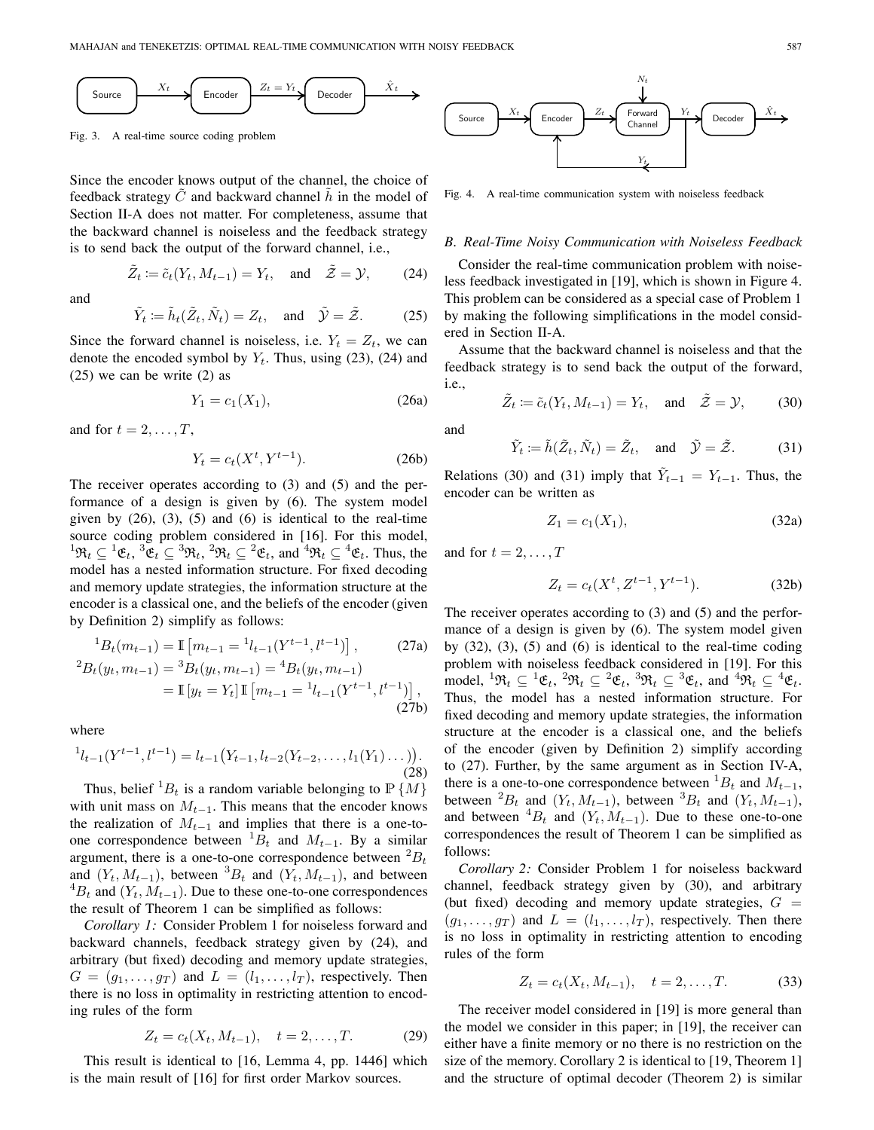$$
\underbrace{\text{Source}} \qquad X_t \qquad \qquad \text{Encoder} \qquad Z_t = Y_t \qquad \qquad \text{Decoder} \qquad \hat{X}_t \qquad \qquad \bullet
$$

Fig. 3. A real-time source coding problem

Since the encoder knows output of the channel, the choice of feedback strategy  $\tilde{C}$  and backward channel  $\tilde{h}$  in the model of Section II-A does not matter. For completeness, assume that the backward channel is noiseless and the feedback strategy is to send back the output of the forward channel, i.e.,

$$
\tilde{Z}_t := \tilde{c}_t(Y_t, M_{t-1}) = Y_t, \text{ and } \tilde{Z} = \mathcal{Y}, \text{ (24)}
$$

and

$$
\tilde{Y}_t := \tilde{h}_t(\tilde{Z}_t, \tilde{N}_t) = Z_t
$$
, and  $\tilde{Y} = \tilde{Z}$ . (25)

Since the forward channel is noiseless, i.e.  $Y_t = Z_t$ , we can denote the encoded symbol by  $Y_t$ . Thus, using (23), (24) and (25) we can be write (2) as

$$
Y_1 = c_1(X_1), \t(26a)
$$

and for  $t = 2, \ldots, T$ ,

$$
Y_t = c_t(X^t, Y^{t-1}).
$$
 (26b)

The receiver operates according to (3) and (5) and the performance of a design is given by (6). The system model given by  $(26)$ ,  $(3)$ ,  $(5)$  and  $(6)$  is identical to the real-time source coding problem considered in [16]. For this model,  ${}^1\mathfrak{R}_t \subseteq {}^1\mathfrak{E}_t$ ,  ${}^3\mathfrak{E}_t \subseteq {}^3\mathfrak{R}_t$ ,  ${}^2\mathfrak{R}_t \subseteq {}^2\mathfrak{E}_t$ , and  ${}^4\mathfrak{R}_t \subseteq {}^4\mathfrak{E}_t$ . Thus, the model has a nested information structure. For fixed decoding and memory update strategies, the information structure at the encoder is a classical one, and the beliefs of the encoder (given by Definition 2) simplify as follows:

$$
{}^{1}B_{t}(m_{t-1}) = \mathbb{I}\left[m_{t-1} = {}^{1}l_{t-1}(Y^{t-1}, l^{t-1})\right],\tag{27a}
$$

$$
{}^{2}B_{t}(y_{t}, m_{t-1}) = {}^{3}B_{t}(y_{t}, m_{t-1}) = {}^{4}B_{t}(y_{t}, m_{t-1})
$$
  
=  $\mathbb{I}[y_{t} = Y_{t}] \mathbb{I}[m_{t-1} = {}^{1}l_{t-1}(Y^{t-1}, l^{t-1})],$  (27b)

where

$$
{}^{1}l_{t-1}(Y^{t-1}, l^{t-1}) = l_{t-1}(Y_{t-1}, l_{t-2}(Y_{t-2}, \ldots, l_{1}(Y_{1}) \ldots)).
$$
\n(28)

Thus, belief  ${}^{1}B_{t}$  is a random variable belonging to  $\mathbb{P}\{M\}$ with unit mass on  $M_{t-1}$ . This means that the encoder knows the realization of  $M_{t-1}$  and implies that there is a one-toone correspondence between  ${}^{1}B_{t}$  and  $M_{t-1}$ . By a similar argument, there is a one-to-one correspondence between  ${}^{2}B_{t}$ and  $(Y_t, M_{t-1})$ , between  ${}^3B_t$  and  $(Y_t, M_{t-1})$ , and between  ${}^4B_t$  and  $(Y_t, M_{t-1})$ . Due to these one-to-one correspondences the result of Theorem 1 can be simplified as follows:

*Corollary 1:* Consider Problem 1 for noiseless forward and backward channels, feedback strategy given by (24), and arbitrary (but fixed) decoding and memory update strategies,  $G = (g_1, \ldots, g_T)$  and  $L = (l_1, \ldots, l_T)$ , respectively. Then there is no loss in optimality in restricting attention to encoding rules of the form

$$
Z_t = c_t(X_t, M_{t-1}), \quad t = 2, \dots, T.
$$
 (29)

This result is identical to [16, Lemma 4, pp. 1446] which is the main result of [16] for first order Markov sources.

Source  $\left|\longrightarrow\right|$  Encoder  $\left|\longrightarrow\right|$  Forward Channel  $\sum t$  *Z*<sup>*t*</sup> *Zt Z*<sup>*t*</sup> *Zt Z*<sup>*t*</sup> *X X Z*<sup>*t*</sup> *X X Z*<sub>*t*</sub> *Z*<sub>*t*</sub> *Z*<sub>*t*</sub> *Z*<sub>*t*</sub> *Z*<sub>*t*</sub> *Z*<sub>*t*</sub> *Z*<sub>*t*</sub> *Z*<sub>*t*</sub> *Z*<sub>*t*</sub> *Z*<sub>*t*</sub> *Z*<sub>*t*</sub> *Z*<sub>*t*</sub> *Z*<sub>*t*</sub> *Z*<sub>*t*</sub> *Z*<sub>*t*</sub> *Z*<sub>*t*</sub> *Yt Nt*

Fig. 4. A real-time communication system with noiseless feedback

# *B. Real-Time Noisy Communication with Noiseless Feedback*

Consider the real-time communication problem with noiseless feedback investigated in [19], which is shown in Figure 4. This problem can be considered as a special case of Problem 1 by making the following simplifications in the model considered in Section II-A.

Assume that the backward channel is noiseless and that the feedback strategy is to send back the output of the forward, i.e.,

$$
\tilde{Z}_t := \tilde{c}_t(Y_t, M_{t-1}) = Y_t
$$
, and  $\tilde{Z} = Y$ , (30)

and

$$
\tilde{Y}_t := \tilde{h}(\tilde{Z}_t, \tilde{N}_t) = \tilde{Z}_t, \text{ and } \tilde{\mathcal{Y}} = \tilde{\mathcal{Z}}.
$$
\n(31)

Relations (30) and (31) imply that  $\tilde{Y}_{t-1} = Y_{t-1}$ . Thus, the encoder can be written as

$$
Z_1 = c_1(X_1), \t\t(32a)
$$

and for  $t = 2, \ldots, T$ 

$$
Z_t = c_t(X^t, Z^{t-1}, Y^{t-1}).
$$
\n(32b)

The receiver operates according to (3) and (5) and the performance of a design is given by (6). The system model given by  $(32)$ ,  $(3)$ ,  $(5)$  and  $(6)$  is identical to the real-time coding problem with noiseless feedback considered in [19]. For this model,  ${}^1\mathfrak{R}_t \subseteq {}^1\mathfrak{E}_t, {}^2\mathfrak{R}_t \subseteq {}^2\mathfrak{E}_t, {}^3\mathfrak{R}_t \subseteq {}^3\mathfrak{E}_t$ , and  ${}^4\mathfrak{R}_t \subseteq {}^4\mathfrak{E}_t$ . Thus, the model has a nested information structure. For fixed decoding and memory update strategies, the information structure at the encoder is a classical one, and the beliefs of the encoder (given by Definition 2) simplify according to (27). Further, by the same argument as in Section IV-A, there is a one-to-one correspondence between  ${}^{1}B_{t}$  and  $M_{t-1}$ , between <sup>2</sup> $B_t$  and  $(Y_t, M_{t-1})$ , between <sup>3</sup> $B_t$  and  $(Y_t, M_{t-1})$ , and between  ${}^{4}B_t$  and  $(Y_t, M_{t-1})$ . Due to these one-to-one correspondences the result of Theorem 1 can be simplified as follows:

*Corollary 2:* Consider Problem 1 for noiseless backward channel, feedback strategy given by (30), and arbitrary (but fixed) decoding and memory update strategies,  $G =$  $(g_1, \ldots, g_T)$  and  $L = (l_1, \ldots, l_T)$ , respectively. Then there is no loss in optimality in restricting attention to encoding rules of the form

$$
Z_t = c_t(X_t, M_{t-1}), \quad t = 2, \dots, T.
$$
 (33)

The receiver model considered in [19] is more general than the model we consider in this paper; in [19], the receiver can either have a finite memory or no there is no restriction on the size of the memory. Corollary 2 is identical to [19, Theorem 1] and the structure of optimal decoder (Theorem 2) is similar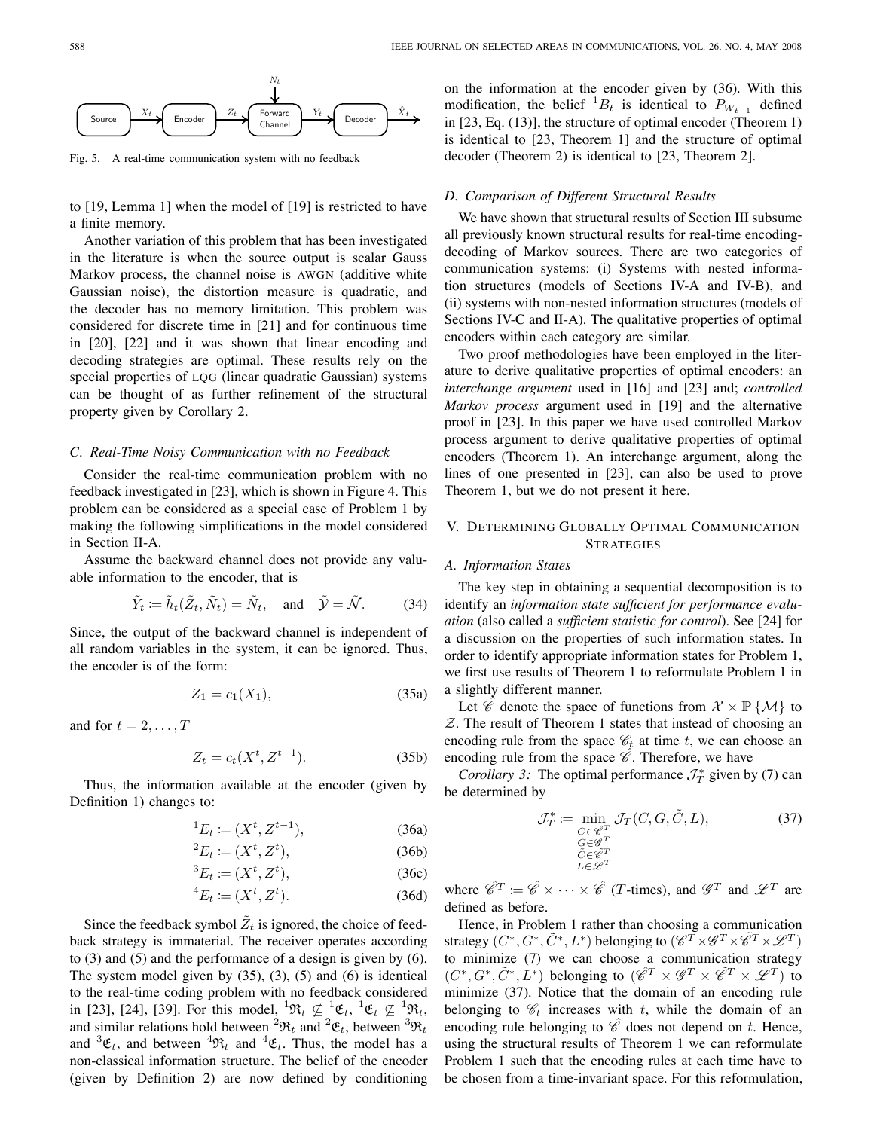

Fig. 5. A real-time communication system with no feedback

to [19, Lemma 1] when the model of [19] is restricted to have a finite memory.

Another variation of this problem that has been investigated in the literature is when the source output is scalar Gauss Markov process, the channel noise is AWGN (additive white Gaussian noise), the distortion measure is quadratic, and the decoder has no memory limitation. This problem was considered for discrete time in [21] and for continuous time in [20], [22] and it was shown that linear encoding and decoding strategies are optimal. These results rely on the special properties of LQG (linear quadratic Gaussian) systems can be thought of as further refinement of the structural property given by Corollary 2.

## *C. Real-Time Noisy Communication with no Feedback*

Consider the real-time communication problem with no feedback investigated in [23], which is shown in Figure 4. This problem can be considered as a special case of Problem 1 by making the following simplifications in the model considered in Section II-A.

Assume the backward channel does not provide any valuable information to the encoder, that is

$$
\tilde{Y}_t \coloneqq \tilde{h}_t(\tilde{Z}_t, \tilde{N}_t) = \tilde{N}_t, \text{ and } \tilde{\mathcal{Y}} = \tilde{\mathcal{N}}.
$$
\n(34)

Since, the output of the backward channel is independent of all random variables in the system, it can be ignored. Thus, the encoder is of the form:

$$
Z_1 = c_1(X_1), \t\t(35a)
$$

and for  $t = 2, \ldots, T$ 

$$
Z_t = c_t(X^t, Z^{t-1}).
$$
 (35b)

Thus, the information available at the encoder (given by Definition 1) changes to:

$$
{}^{1}E_{t} := (X^{t}, Z^{t-1}), \tag{36a}
$$

$$
{}^{2}E_{t} \coloneqq (X^{t}, Z^{t}), \tag{36b}
$$

$$
{}^{3}E_{t} \coloneqq (X^{t}, Z^{t}), \tag{36c}
$$

$$
{}^4E_t \coloneqq (X^t, Z^t). \tag{36d}
$$

Since the feedback symbol  $\tilde{Z}_t$  is ignored, the choice of feedback strategy is immaterial. The receiver operates according to (3) and (5) and the performance of a design is given by (6). The system model given by  $(35)$ ,  $(3)$ ,  $(5)$  and  $(6)$  is identical to the real-time coding problem with no feedback considered in [23], [24], [39]. For this model,  ${}^{1}\mathfrak{R}_t \not\subseteq {}^{1}\mathfrak{E}_t, {}^{1}\mathfrak{E}_t \not\subseteq {}^{1}\mathfrak{R}_t$ , and similar relations hold between  ${}^{2}\mathfrak{R}_{t}$  and  ${}^{2}\mathfrak{E}_{t}$ , between  ${}^{3}\mathfrak{R}_{t}$ and  ${}^3\mathfrak{E}_t$ , and between  ${}^4\mathfrak{R}_t$  and  ${}^4\mathfrak{E}_t$ . Thus, the model has a non-classical information structure. The belief of the encoder (given by Definition 2) are now defined by conditioning on the information at the encoder given by (36). With this modification, the belief  ${}^{1}B_t$  is identical to  $P_{W_{t-1}}$  defined in [23, Eq. (13)], the structure of optimal encoder (Theorem 1) is identical to [23, Theorem 1] and the structure of optimal decoder (Theorem 2) is identical to [23, Theorem 2].

# *D. Comparison of Different Structural Results*

We have shown that structural results of Section III subsume all previously known structural results for real-time encodingdecoding of Markov sources. There are two categories of communication systems: (i) Systems with nested information structures (models of Sections IV-A and IV-B), and (ii) systems with non-nested information structures (models of Sections IV-C and II-A). The qualitative properties of optimal encoders within each category are similar.

Two proof methodologies have been employed in the literature to derive qualitative properties of optimal encoders: an *interchange argument* used in [16] and [23] and; *controlled Markov process* argument used in [19] and the alternative proof in [23]. In this paper we have used controlled Markov process argument to derive qualitative properties of optimal encoders (Theorem 1). An interchange argument, along the lines of one presented in [23], can also be used to prove Theorem 1, but we do not present it here.

# V. DETERMINING GLOBALLY OPTIMAL COMMUNICATION **STRATEGIES**

#### *A. Information States*

The key step in obtaining a sequential decomposition is to identify an *information state sufficient for performance evaluation* (also called a *sufficient statistic for control*). See [24] for a discussion on the properties of such information states. In order to identify appropriate information states for Problem 1, we first use results of Theorem 1 to reformulate Problem 1 in a slightly different manner.

Let  $\mathscr{C}$  denote the space of functions from  $\mathcal{X} \times \mathbb{P} \{ \mathcal{M} \}$  to  $Z$ . The result of Theorem 1 states that instead of choosing an encoding rule from the space  $\mathcal{C}_t$  at time t, we can choose an encoding rule from the space  $\hat{\mathscr{C}}$ . Therefore, we have

*Corollary 3:* The optimal performance  $\mathcal{J}_T^*$  given by (7) can be determined by

$$
\mathcal{J}_T^* \coloneqq \min_{\substack{C \in \mathscr{C}^T \\ G \in \mathscr{G}^T \\ \tilde{C} \in \mathscr{C}^T \\ L \in \mathscr{L}^T}} \mathcal{J}_T(C, G, \tilde{C}, L), \tag{37}
$$

where  $\hat{\mathscr{C}}^T := \hat{\mathscr{C}} \times \cdots \times \hat{\mathscr{C}}$  (*T*-times), and  $\mathscr{G}^T$  and  $\mathscr{L}^T$  are defined as before.

Hence, in Problem 1 rather than choosing a communication strategy  $(C^*, G^*, \tilde{C}^*, L^*)$  belonging to  $(\mathscr{C}^{\widetilde{T}} \times \mathscr{G}^T \times \tilde{\mathscr{C}}^T \times \mathscr{L}^T)$ to minimize (7) we can choose a communication strategy  $(C^*, G^*, \tilde{C}^*, L^*)$  belonging to  $(\hat{\mathscr{C}}^T \times \mathscr{G}^T \times \tilde{\mathscr{C}}^T \times \mathscr{L}^T)$  to minimize (37). Notice that the domain of an encoding rule belonging to  $\mathcal{C}_t$  increases with t, while the domain of an encoding rule belonging to  $\hat{\mathscr{C}}$  does not depend on t. Hence, using the structural results of Theorem 1 we can reformulate Problem 1 such that the encoding rules at each time have to be chosen from a time-invariant space. For this reformulation,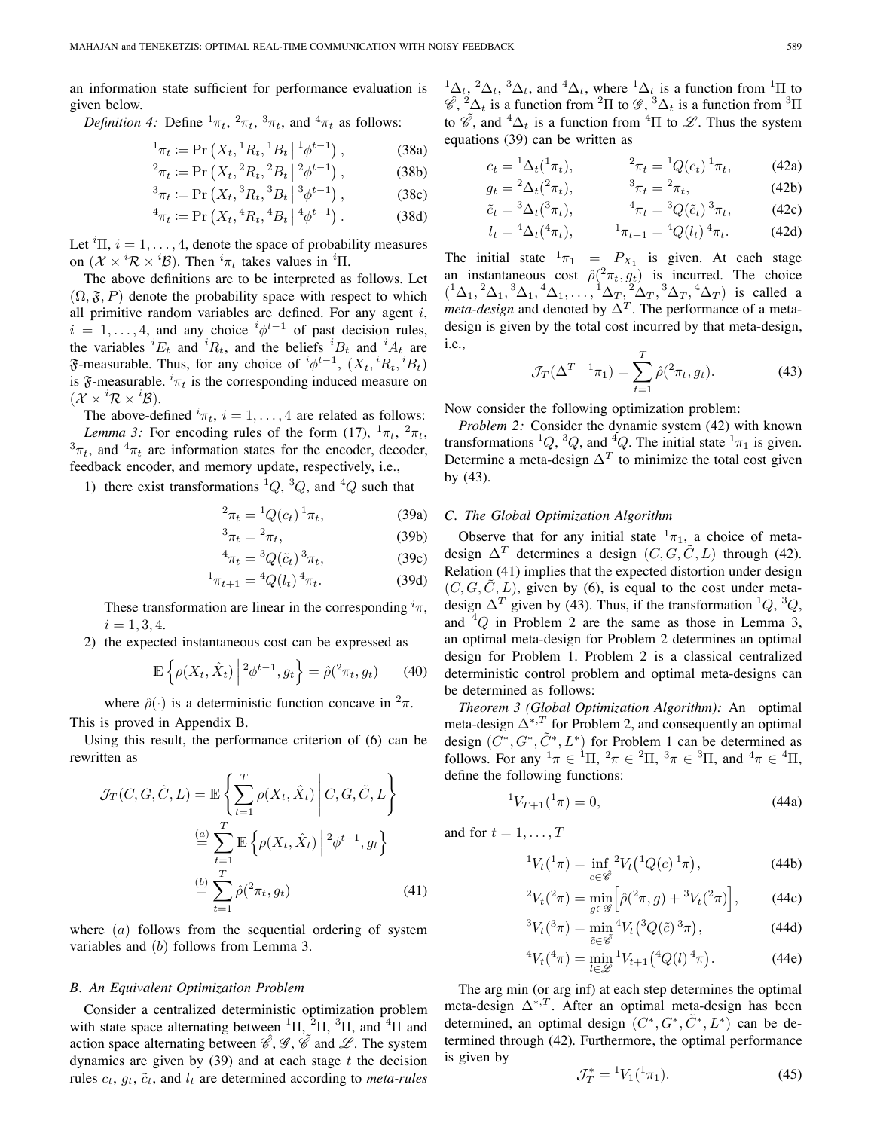an information state sufficient for performance evaluation is given below.

*Definition 4:* Define  ${}^{1}\pi_t$ ,  ${}^{2}\pi_t$ ,  ${}^{3}\pi_t$ , and  ${}^{4}\pi_t$  as follows:

$$
{}^{1}\pi_{t} := \Pr\left(X_{t}, {}^{1}R_{t}, {}^{1}B_{t} \mid {}^{1}\phi^{t-1}\right),\tag{38a}
$$

$$
{}^{2}\pi_{t} := \Pr\left(X_{t}, {}^{2}R_{t}, {}^{2}B_{t} \mid {}^{2}\phi^{t-1}\right),\tag{38b}
$$

$$
{}^{3}\pi_{t} := \Pr\left(X_{t}, {}^{3}R_{t}, {}^{3}B_{t} \middle| {}^{3}\phi^{t-1}\right),\tag{38c}
$$

$$
{}^{4}\pi_{t} := \Pr\left(X_{t}, {}^{4}R_{t}, {}^{4}B_{t} \mid {}^{4}\phi^{t-1}\right). \tag{38d}
$$

Let  ${}^{i}$ Π,  $i = 1, \ldots, 4$ , denote the space of probability measures on  $(\mathcal{X} \times {}^{i} \mathcal{R} \times {}^{i} \mathcal{B})$ . Then  ${}^{i} \pi_t$  takes values in  ${}^{i} \Pi$ .

The above definitions are to be interpreted as follows. Let  $(\Omega, \mathfrak{F}, P)$  denote the probability space with respect to which all primitive random variables are defined. For any agent  $i$ ,  $i = 1, \ldots, 4$ , and any choice  $i\phi^{t-1}$  of past decision rules, the variables  ${}^{i}E_{t}$  and  ${}^{i}R_{t}$ , and the beliefs  ${}^{i}B_{t}$  and  ${}^{i}A_{t}$  are  $\mathfrak F$ -measurable. Thus, for any choice of  ${}^i\phi^{t-1}$ ,  $(X_t, {}^iR_t, {}^iB_t)$ is  $\mathfrak{F}$ -measurable.  ${}^{i}\pi_{t}$  is the corresponding induced measure on  $(\mathcal{X} \times {}^{i}\mathcal{R} \times {}^{i}\mathcal{B}).$ 

The above-defined  ${}^{i}\pi_{t}$ ,  $i = 1, \ldots, 4$  are related as follows: *Lemma 3:* For encoding rules of the form (17),  $\frac{1}{\pi t}$ ,  $\frac{2}{\pi t}$ ,  ${}^{3}\pi_t$ , and  ${}^{4}\pi_t$  are information states for the encoder, decoder, feedback encoder, and memory update, respectively, i.e.,

1) there exist transformations  ${}^{1}Q$ ,  ${}^{3}Q$ , and  ${}^{4}Q$  such that

$$
{}^{2}\pi_{t} = {}^{1}Q(c_{t}) \, {}^{1}\pi_{t}, \tag{39a}
$$

$$
{}^3\pi_t = {}^2\pi_t,\tag{39b}
$$

$$
{}^{4}\pi_t = {}^{3}Q(\tilde{c}_t){}^{3}\pi_t,\tag{39c}
$$

$$
{}^{1}\pi_{t+1} = {}^{4}Q(l_{t}) {}^{4}\pi_{t}.
$$
 (39d)

These transformation are linear in the corresponding  ${}^{i}\pi$ ,  $i = 1, 3, 4.$ 

2) the expected instantaneous cost can be expressed as

$$
\mathbb{E}\left\{\rho(X_t, \hat{X}_t)\middle| \, {}^2\phi^{t-1}, g_t\right\} = \hat{\rho}({}^2\pi_t, g_t) \tag{40}
$$

where  $\hat{\rho}(\cdot)$  is a deterministic function concave in  $^2\pi$ .

This is proved in Appendix B.

Using this result, the performance criterion of (6) can be rewritten as

$$
\mathcal{J}_T(C, G, \tilde{C}, L) = \mathbb{E}\left\{\sum_{t=1}^T \rho(X_t, \hat{X}_t) \middle| C, G, \tilde{C}, L\right\}
$$

$$
\stackrel{(a)}{=} \sum_{t=1}^T \mathbb{E}\left\{\rho(X_t, \hat{X}_t) \middle| \bigg|^{2} \phi^{t-1}, g_t\right\}
$$

$$
\stackrel{(b)}{=} \sum_{t=1}^T \hat{\rho}(\mathcal{X}_t, g_t) \tag{41}
$$

where  $(a)$  follows from the sequential ordering of system variables and  $(b)$  follows from Lemma 3.

#### *B. An Equivalent Optimization Problem*

Consider a centralized deterministic optimization problem with state space alternating between  ${}^{1}$ Π,  ${}^{2}$ Π,  ${}^{3}$ Π, and  ${}^{4}$ Π and action space alternating between  $\mathscr{C}, \mathscr{G}, \mathscr{C}$  and  $\mathscr{L}$ . The system dynamics are given by  $(39)$  and at each stage t the decision rules  $c_t$ ,  $g_t$ ,  $\tilde{c}_t$ , and  $l_t$  are determined according to *meta-rules* 

 ${}^{1}\Delta_{t}$ ,  ${}^{2}\Delta_{t}$ ,  ${}^{3}\Delta_{t}$ , and  ${}^{4}\Delta_{t}$ , where  ${}^{1}\Delta_{t}$  is a function from  ${}^{1}\Pi$  to  $\hat{\mathscr{C}},^2 \Delta_t$  is a function from  $^2\Pi$  to  $\mathscr{G},^3 \Delta_t$  is a function from  $^3\Pi$ to  $\tilde{\mathscr{C}}$ , and  ${}^4\Delta_t$  is a function from  ${}^4\Pi$  to  $\mathscr{L}$ . Thus the system equations (39) can be written as

$$
c_t = {}^1\Delta_t({}^1\pi_t), \qquad {}^2\pi_t = {}^1Q(c_t){}^1\pi_t, \qquad (42a)
$$

$$
g_t = {}^2\Delta_t({}^2\pi_t), \qquad {}^3\pi_t = {}^2\pi_t, \qquad (42b)
$$
  

$$
\tilde{c}_t = {}^3\Delta_t({}^3\pi_t), \qquad {}^4\pi_t = {}^3Q(\tilde{c}_t){}^3\pi_t, \qquad (42c)
$$

$$
l_{t} = {}^{4}\Delta_{t}({}^{4}\pi_{t}), \qquad {}^{1}\pi_{t+1} = {}^{4}Q(l_{t}) {}^{4}\pi_{t}. \qquad (42d)
$$

The initial state  ${}^{1}\pi_{1}$  =  $P_{X_{1}}$  is given. At each stage an instantaneous cost  $\hat{\rho}$ <sup>(2</sup> $\pi$ <sub>t</sub>,  $g$ <sub>t</sub>) is incurred. The choice  $({}^{1}\Delta_{1}, {}^{2}\Delta_{1}, {}^{3}\Delta_{1}, {}^{4}\Delta_{1}, \ldots, {}^{1}\Delta_{T}, {}^{2}\Delta_{T}, {}^{3}\Delta_{T}, {}^{4}\Delta_{T})$  is called a *meta-design* and denoted by  $\Delta^T$ . The performance of a metadesign is given by the total cost incurred by that meta-design, i.e.,

$$
\mathcal{J}_T(\Delta^T \mid {}^1\pi_1) = \sum_{t=1}^T \hat{\rho}(^2 \pi_t, g_t). \tag{43}
$$

Now consider the following optimization problem:

*Problem 2:* Consider the dynamic system (42) with known transformations  ${}^{1}Q$ ,  ${}^{3}Q$ , and  ${}^{4}Q$ . The initial state  ${}^{1}\pi_1$  is given. Determine a meta-design  $\Delta^T$  to minimize the total cost given by (43).

#### *C. The Global Optimization Algorithm*

Observe that for any initial state  $\frac{1}{\pi}$ , a choice of metadesign  $\Delta^T$  determines a design  $(C, G, \tilde{C}, L)$  through (42). Relation (41) implies that the expected distortion under design  $(C, G, \tilde{C}, L)$ , given by (6), is equal to the cost under metadesign  $\Delta^T$  given by (43). Thus, if the transformation  ${}^1Q$ ,  ${}^3Q$ , and  ${}^{4}Q$  in Problem 2 are the same as those in Lemma 3, an optimal meta-design for Problem 2 determines an optimal design for Problem 1. Problem 2 is a classical centralized deterministic control problem and optimal meta-designs can be determined as follows:

*Theorem 3 (Global Optimization Algorithm):* An optimal meta-design  $\Delta^{*,T}$  for Problem 2, and consequently an optimal design  $(C^*, G^*, \tilde{C}^*, L^*)$  for Problem 1 can be determined as follows. For any  ${}^1\pi \in {}^1\Pi$ ,  ${}^2\pi \in {}^2\Pi$ ,  ${}^3\pi \in {}^3\Pi$ , and  ${}^4\pi \in {}^4\Pi$ , define the following functions:

$$
{}^{1}V_{T+1}({}^{1}\pi) = 0,\t\t(44a)
$$

and for  $t = 1, \ldots, T$ 

$$
{}^{1}V_{t}({}^{1}\pi) = \inf_{c \in \hat{\mathscr{C}}} {}^{2}V_{t}({}^{1}Q(c) \, {}^{1}\pi), \tag{44b}
$$

$$
{}^{2}V_{t}(^{2}\pi) = \min_{g \in \mathcal{G}} \left[ \hat{\rho}({}^{2}\pi, g) + {}^{3}V_{t}({}^{2}\pi) \right], \tag{44c}
$$

$$
{}^{3}V_{t}({}^{3}\pi) = \min_{\tilde{c}\in\tilde{\mathscr{C}}} {}^{4}V_{t}({}^{3}Q(\tilde{c})\, {}^{3}\pi), \tag{44d}
$$

$$
{}^{4}V_{t}({}^{4}\pi) = \min_{l \in \mathscr{L}} {}^{1}V_{t+1}({}^{4}Q(l)\, {}^{4}\pi). \tag{44e}
$$

The arg min (or arg inf) at each step determines the optimal meta-design  $\Delta^{*,T}$ . After an optimal meta-design has been determined, an optimal design  $(C^*, G^*, \tilde{C}^*, L^*)$  can be determined through (42). Furthermore, the optimal performance is given by

$$
\mathcal{J}_T^* = {}^1V_1({}^1\pi_1). \tag{45}
$$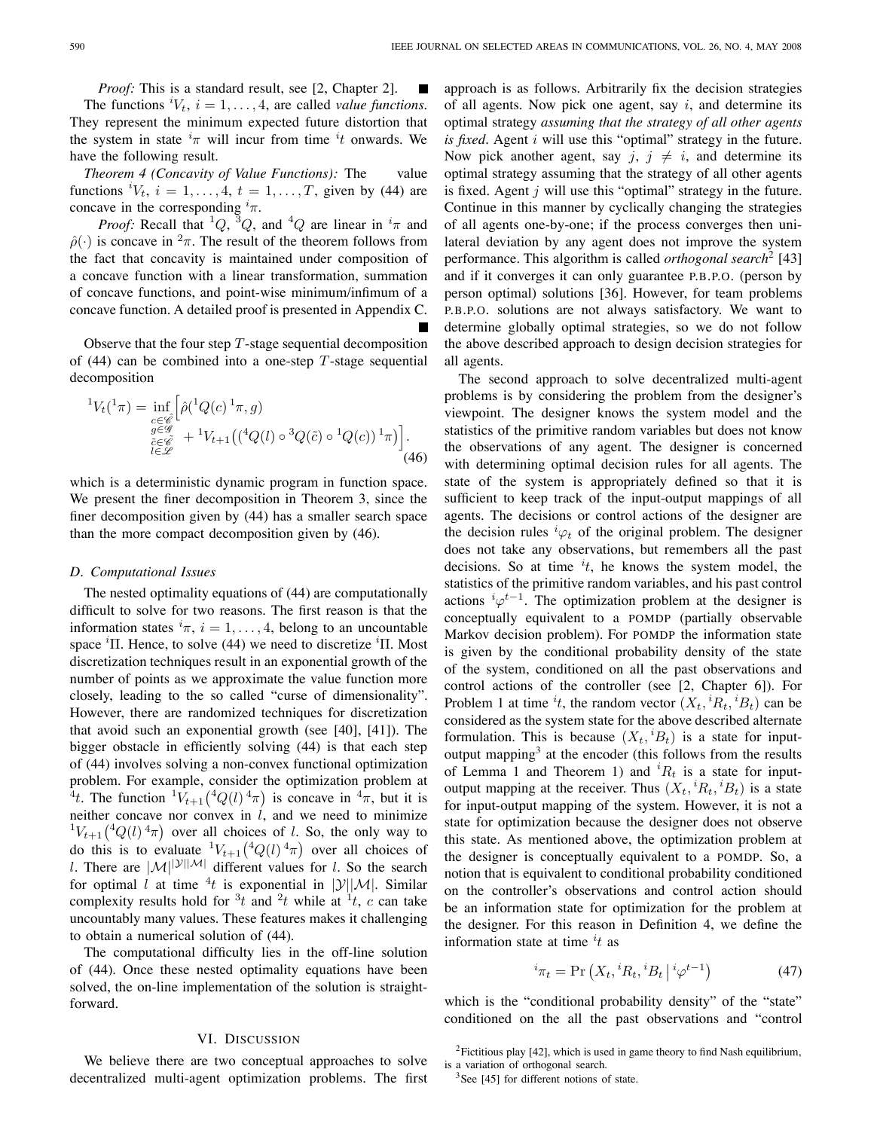*Proof:* This is a standard result, see [2, Chapter 2]. П The functions  ${}^{i}V_{t}$ ,  $i = 1, \ldots, 4$ , are called *value functions*. They represent the minimum expected future distortion that the system in state  $i\pi$  will incur from time  $i\tau$  onwards. We have the following result.

*Theorem 4 (Concavity of Value Functions):* The value functions  ${}^{i}V_{t}$ ,  $i = 1, \ldots, 4$ ,  $t = 1, \ldots, T$ , given by (44) are concave in the corresponding  $i_{\pi}$ .

*Proof:* Recall that <sup>1</sup>Q, <sup>3</sup>Q, and <sup>4</sup>Q are linear in  $i<sub>\pi</sub>$  and  $\hat{\rho}(\cdot)$  is concave in  $^2\pi$ . The result of the theorem follows from the fact that concavity is maintained under composition of a concave function with a linear transformation, summation of concave functions, and point-wise minimum/infimum of a concave function. A detailed proof is presented in Appendix C.

Observe that the four step  $T$ -stage sequential decomposition of  $(44)$  can be combined into a one-step T-stage sequential decomposition

$$
{}^{1}V_{t}({}^{1}\pi) = \inf_{\substack{c \in \mathscr{C} \\ g \in \mathscr{G} \\ l \in \mathscr{L}}} \left[ \hat{\rho}({}^{1}Q(c) \, {}^{1}\pi, g) \right] \times {}^{1}V_{t+1} \left( \left( {}^{4}Q(l) \circ {}^{3}Q(\tilde{c}) \circ {}^{1}Q(c) \right) \, {}^{1}\pi \right) \right].
$$
\n
$$
({}^{4}6)
$$

which is a deterministic dynamic program in function space. We present the finer decomposition in Theorem 3, since the finer decomposition given by (44) has a smaller search space than the more compact decomposition given by (46).

#### *D. Computational Issues*

The nested optimality equations of (44) are computationally difficult to solve for two reasons. The first reason is that the information states  ${}^{i}\pi$ ,  $i = 1, \ldots, 4$ , belong to an uncountable space <sup>*i*</sup>Π. Hence, to solve (44) we need to discretize <sup>*i*</sup>Π. Most discretization techniques result in an exponential growth of the number of points as we approximate the value function more closely, leading to the so called "curse of dimensionality". However, there are randomized techniques for discretization that avoid such an exponential growth (see [40], [41]). The bigger obstacle in efficiently solving (44) is that each step of (44) involves solving a non-convex functional optimization problem. For example, consider the optimization problem at <sup>4</sup>t. The function  ${}^{1}V_{t+1} ({}^{4}Q(l) {}^{4}\pi)$  is concave in  ${}^{4} \pi$ , but it is neither concave nor convex in  $l$ , and we need to minimize  ${}^{1}V_{t+1}({}^{4}Q(l)\, {}^{4}\pi)$  over all choices of *l*. So, the only way to do this is to evaluate  ${}^{1}V_{t+1} ({}^{4}Q(l) {}^{4} \pi)$  over all choices of l. There are  $|\mathcal{M}|^{|\mathcal{Y}||\mathcal{M}|}$  different values for l. So the search for optimal l at time  ${}^{4}t$  is exponential in  $|\mathcal{Y}||\mathcal{M}|$ . Similar complexity results hold for  $3t$  and  $2t$  while at  $1t$ , c can take uncountably many values. These features makes it challenging to obtain a numerical solution of (44).

The computational difficulty lies in the off-line solution of (44). Once these nested optimality equations have been solved, the on-line implementation of the solution is straightforward.

# VI. DISCUSSION

We believe there are two conceptual approaches to solve decentralized multi-agent optimization problems. The first approach is as follows. Arbitrarily fix the decision strategies of all agents. Now pick one agent, say  $i$ , and determine its optimal strategy *assuming that the strategy of all other agents is fixed*. Agent i will use this "optimal" strategy in the future. Now pick another agent, say  $j, j \neq i$ , and determine its optimal strategy assuming that the strategy of all other agents is fixed. Agent  $j$  will use this "optimal" strategy in the future. Continue in this manner by cyclically changing the strategies of all agents one-by-one; if the process converges then unilateral deviation by any agent does not improve the system performance. This algorithm is called *orthogonal search*<sup>2</sup> [43] and if it converges it can only guarantee P.B.P.O. (person by person optimal) solutions [36]. However, for team problems P.B.P.O. solutions are not always satisfactory. We want to determine globally optimal strategies, so we do not follow the above described approach to design decision strategies for all agents.

The second approach to solve decentralized multi-agent problems is by considering the problem from the designer's viewpoint. The designer knows the system model and the statistics of the primitive random variables but does not know the observations of any agent. The designer is concerned with determining optimal decision rules for all agents. The state of the system is appropriately defined so that it is sufficient to keep track of the input-output mappings of all agents. The decisions or control actions of the designer are the decision rules  ${}^{i}\varphi_t$  of the original problem. The designer does not take any observations, but remembers all the past decisions. So at time  $it$ , he knows the system model, the statistics of the primitive random variables, and his past control actions  ${}^{i}\varphi^{t-1}$ . The optimization problem at the designer is conceptually equivalent to a POMDP (partially observable Markov decision problem). For POMDP the information state is given by the conditional probability density of the state of the system, conditioned on all the past observations and control actions of the controller (see [2, Chapter 6]). For Problem 1 at time  $it$ , the random vector  $(X_t, {}^iR_t, {}^iB_t)$  can be considered as the system state for the above described alternate formulation. This is because  $(X_t, {}^iB_t)$  is a state for inputoutput mapping<sup>3</sup> at the encoder (this follows from the results of Lemma 1 and Theorem 1) and  ${}^{i}R_{t}$  is a state for inputoutput mapping at the receiver. Thus  $(X_t, {^iR_t}, {^iB_t})$  is a state for input-output mapping of the system. However, it is not a state for optimization because the designer does not observe this state. As mentioned above, the optimization problem at the designer is conceptually equivalent to a POMDP. So, a notion that is equivalent to conditional probability conditioned on the controller's observations and control action should be an information state for optimization for the problem at the designer. For this reason in Definition 4, we define the information state at time  $it$  as

$$
{}^{i}\pi_{t} = \Pr\left(X_{t}, {}^{i}R_{t}, {}^{i}B_{t} \mid {}^{i}\varphi^{t-1}\right) \tag{47}
$$

which is the "conditional probability density" of the "state" conditioned on the all the past observations and "control

<sup>&</sup>lt;sup>2</sup>Fictitious play [42], which is used in game theory to find Nash equilibrium, is a variation of orthogonal search.

 $3$ See [45] for different notions of state.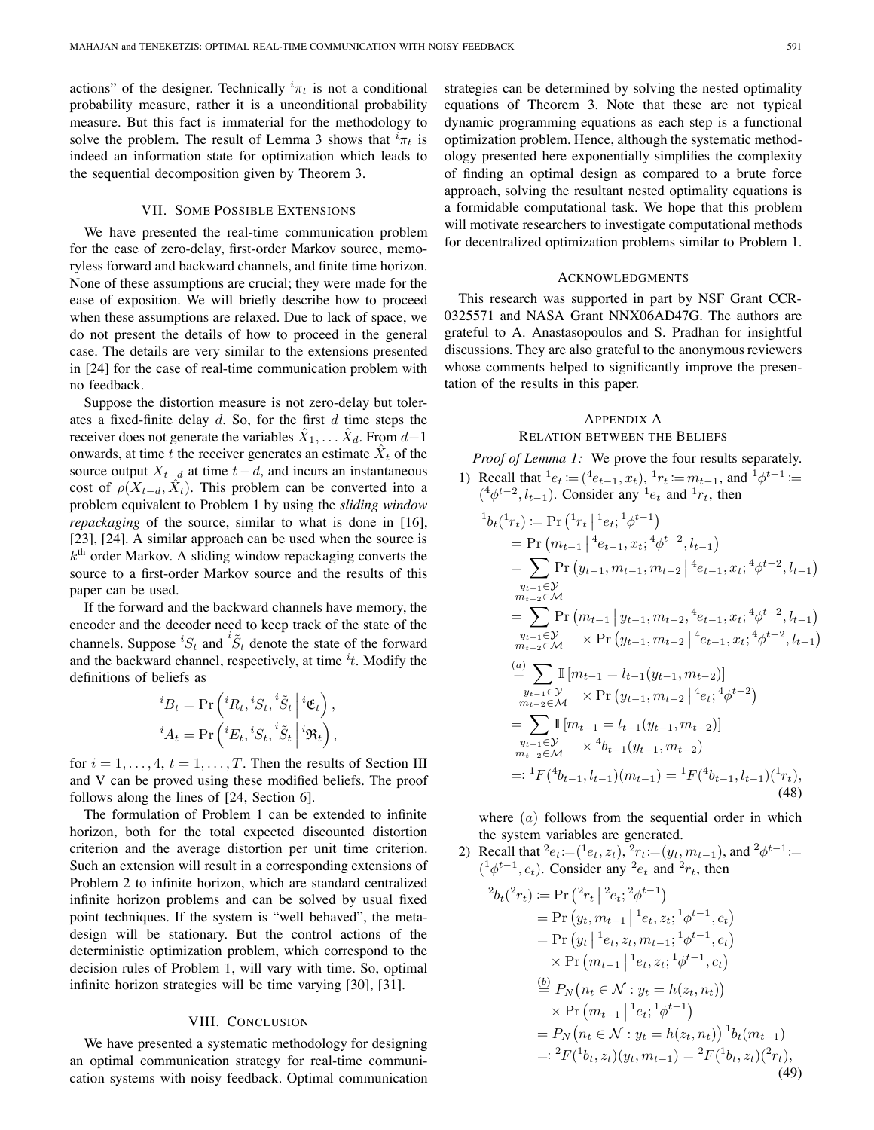actions" of the designer. Technically  ${}^{i}\pi_{t}$  is not a conditional probability measure, rather it is a unconditional probability measure. But this fact is immaterial for the methodology to solve the problem. The result of Lemma 3 shows that  ${}^{i}\pi_{t}$  is indeed an information state for optimization which leads to the sequential decomposition given by Theorem 3.

## VII. SOME POSSIBLE EXTENSIONS

We have presented the real-time communication problem for the case of zero-delay, first-order Markov source, memoryless forward and backward channels, and finite time horizon. None of these assumptions are crucial; they were made for the ease of exposition. We will briefly describe how to proceed when these assumptions are relaxed. Due to lack of space, we do not present the details of how to proceed in the general case. The details are very similar to the extensions presented in [24] for the case of real-time communication problem with no feedback.

Suppose the distortion measure is not zero-delay but tolerates a fixed-finite delay  $d$ . So, for the first  $d$  time steps the receiver does not generate the variables  $\hat{X}_1, \ldots \hat{X}_d$ . From  $d+1$ onwards, at time t the receiver generates an estimate  $\hat{X}_t$  of the source output  $X_{t-d}$  at time  $t-d$ , and incurs an instantaneous cost of  $\rho(X_{t-d}, \hat{X}_t)$ . This problem can be converted into a problem equivalent to Problem 1 by using the *sliding window repackaging* of the source, similar to what is done in [16], [23], [24]. A similar approach can be used when the source is  $k<sup>th</sup>$  order Markov. A sliding window repackaging converts the source to a first-order Markov source and the results of this paper can be used.

If the forward and the backward channels have memory, the encoder and the decoder need to keep track of the state of the channels. Suppose  ${}^{i}S_{t}$  and  ${}^{i}\tilde{S}_{t}$  denote the state of the forward and the backward channel, respectively, at time  $it$ . Modify the definitions of beliefs as

$$
{}^{i}B_{t} = \Pr\left({}^{i}R_{t}, {}^{i}S_{t}, {}^{i}\tilde{S}_{t} | {}^{i}\mathfrak{E}_{t}\right),
$$
  

$$
{}^{i}A_{t} = \Pr\left({}^{i}E_{t}, {}^{i}S_{t}, {}^{i}\tilde{S}_{t} | {}^{i}\mathfrak{R}_{t}\right),
$$

for  $i = 1, \ldots, 4, t = 1, \ldots, T$ . Then the results of Section III and V can be proved using these modified beliefs. The proof follows along the lines of [24, Section 6].

The formulation of Problem 1 can be extended to infinite horizon, both for the total expected discounted distortion criterion and the average distortion per unit time criterion. Such an extension will result in a corresponding extensions of Problem 2 to infinite horizon, which are standard centralized infinite horizon problems and can be solved by usual fixed point techniques. If the system is "well behaved", the metadesign will be stationary. But the control actions of the deterministic optimization problem, which correspond to the decision rules of Problem 1, will vary with time. So, optimal infinite horizon strategies will be time varying [30], [31].

# VIII. CONCLUSION

We have presented a systematic methodology for designing an optimal communication strategy for real-time communication systems with noisy feedback. Optimal communication

strategies can be determined by solving the nested optimality equations of Theorem 3. Note that these are not typical dynamic programming equations as each step is a functional optimization problem. Hence, although the systematic methodology presented here exponentially simplifies the complexity of finding an optimal design as compared to a brute force approach, solving the resultant nested optimality equations is a formidable computational task. We hope that this problem will motivate researchers to investigate computational methods for decentralized optimization problems similar to Problem 1.

#### ACKNOWLEDGMENTS

This research was supported in part by NSF Grant CCR-0325571 and NASA Grant NNX06AD47G. The authors are grateful to A. Anastasopoulos and S. Pradhan for insightful discussions. They are also grateful to the anonymous reviewers whose comments helped to significantly improve the presentation of the results in this paper.

# APPENDIX A

RELATION BETWEEN THE BELIEFS

*Proof of Lemma 1:* We prove the four results separately.

1) Recall that  ${}^{1}e_{t} := ({}^{4}e_{t-1}, x_{t}), {}^{1}r_{t} := m_{t-1}$ , and  ${}^{1}\phi^{t-1} :=$  $({}^{4}\phi^{t-2}, l_{t-1})$ . Consider any  ${}^{1}e_t$  and  ${}^{1}r_t$ , then

$$
{}^{1}b_{t}({}^{1}r_{t}) := \Pr\left({}^{1}r_{t} \mid {}^{1}e_{t}; {}^{1}\phi^{t-1}\right)
$$
  
\n
$$
= \Pr\left(m_{t-1} \mid {}^{4}e_{t-1}, x_{t}; {}^{4}\phi^{t-2}, l_{t-1}\right)
$$
  
\n
$$
= \sum_{y_{t-1} \in \mathcal{Y}} \Pr\left(y_{t-1}, m_{t-1}, m_{t-2} \mid {}^{4}e_{t-1}, x_{t}; {}^{4}\phi^{t-2}, l_{t-1}\right)
$$
  
\n
$$
= \sum_{m_{t-2} \in \mathcal{M}} \Pr\left(m_{t-1} \mid y_{t-1}, m_{t-2}, {}^{4}e_{t-1}, x_{t}; {}^{4}\phi^{t-2}, l_{t-1}\right)
$$
  
\n
$$
= \sum_{m_{t-2} \in \mathcal{M}} \Pr\left(y_{t-1}, m_{t-2} \mid {}^{4}e_{t-1}, x_{t}; {}^{4}\phi^{t-2}, l_{t-1}\right)
$$
  
\n
$$
= \sum_{m_{t-2} \in \mathcal{M}} \mathbb{I}\left[m_{t-1} = l_{t-1}(y_{t-1}, m_{t-2})\right]
$$
  
\n
$$
= \sum_{m_{t-2} \in \mathcal{M}} \mathbb{I}\left[m_{t-1} = l_{t-1}(y_{t-1}, m_{t-2})\right]
$$
  
\n
$$
= \sum_{m_{t-2} \in \mathcal{M}} \mathbb{I}\left[m_{t-1} = l_{t-1}(y_{t-1}, m_{t-2})\right]
$$
  
\n
$$
= \sum_{m_{t-2} \in \mathcal{M}} \mathbb{I}\left[m_{t-1} = l_{t-1}(y_{t-1}, m_{t-2})\right]
$$
  
\n
$$
= : {}^{1}F({}^{4}b_{t-1}, l_{t-1})(m_{t-1}) = {}^{1}F({}^{4}b_{t-1}, l_{t-1})({}^{1}r_{t}),
$$
  
\n(48)

where  $(a)$  follows from the sequential order in which the system variables are generated.

2) Recall that  $e_t := (e_t, z_t)$ ,  $e_t := (y_t, m_{t-1})$ , and  $e_t = e_t$  $({}^{1}\phi^{t-1}, c_t)$ . Consider any  ${}^{2}e_t$  and  ${}^{2}r_t$ , then

$$
{}^{2}b_{t}({}^{2}r_{t}) := \Pr\left({}^{2}r_{t} \mid {}^{2}e_{t}; {}^{2}\phi^{t-1}\right)
$$
  
\n
$$
= \Pr\left(y_{t}, m_{t-1} \mid {}^{1}e_{t}, z_{t}; {}^{1}\phi^{t-1}, c_{t}\right)
$$
  
\n
$$
= \Pr\left(y_{t} \mid {}^{1}e_{t}, z_{t}, m_{t-1}; {}^{1}\phi^{t-1}, c_{t}\right)
$$
  
\n
$$
\times \Pr\left(m_{t-1} \mid {}^{1}e_{t}, z_{t}; {}^{1}\phi^{t-1}, c_{t}\right)
$$
  
\n
$$
\stackrel{\text{(b)}}{=} P_{N}\left(n_{t} \in \mathcal{N}: y_{t} = h(z_{t}, n_{t})\right)
$$
  
\n
$$
\times \Pr\left(m_{t-1} \mid {}^{1}e_{t}; {}^{1}\phi^{t-1}\right)
$$
  
\n
$$
= P_{N}\left(n_{t} \in \mathcal{N}: y_{t} = h(z_{t}, n_{t})\right) {}^{1}b_{t}(m_{t-1})
$$
  
\n
$$
=: {}^{2}F({}^{1}b_{t}, z_{t})(y_{t}, m_{t-1}) = {}^{2}F({}^{1}b_{t}, z_{t})({}^{2}r_{t}),
$$
  
\n(49)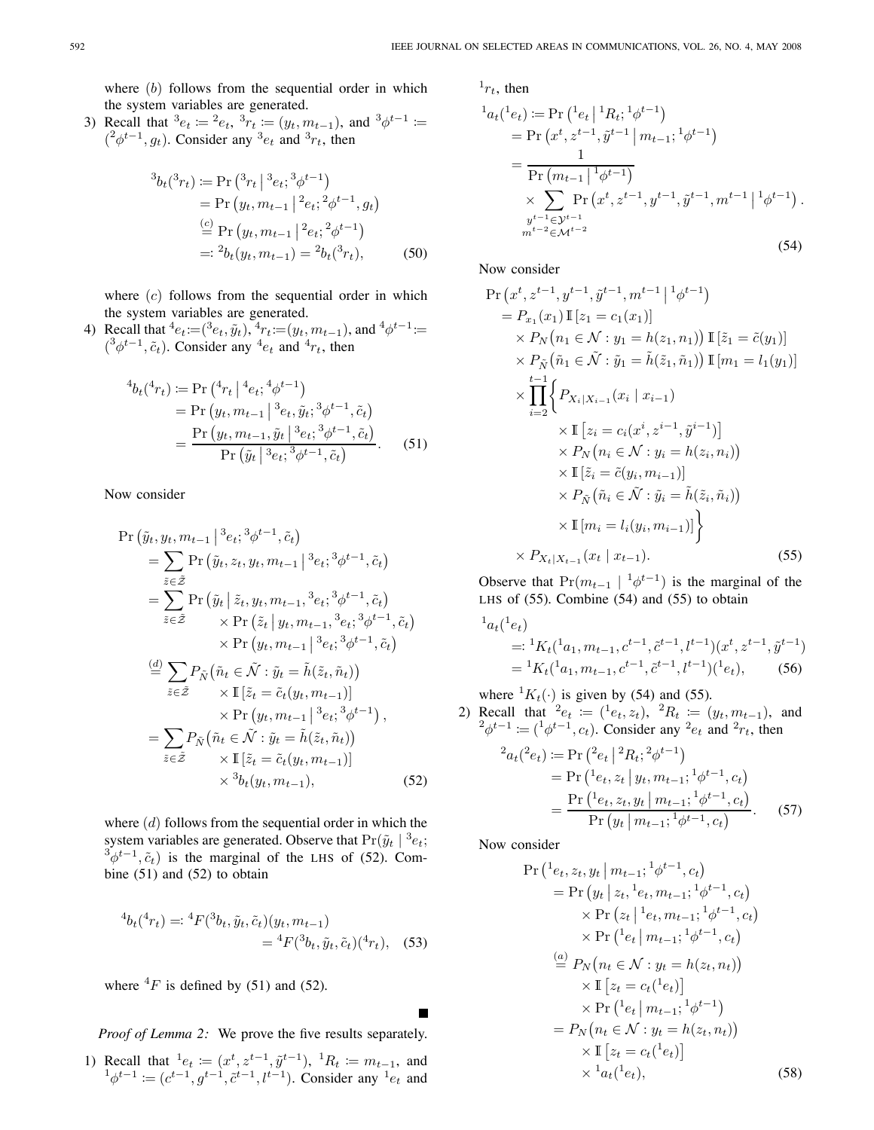where  $(b)$  follows from the sequential order in which the system variables are generated.

3) Recall that  ${}^{3}e_{t} := {}^{2}e_{t}$ ,  ${}^{3}r_{t} := (y_{t}, m_{t-1})$ , and  ${}^{3}\phi^{t-1} :=$  $( ^{2}\phi^{t-1}, g_t)$ . Consider any  $^{3}e_t$  and  $^{3}r_t$ , then

$$
{}^{3}b_{t}({}^{3}r_{t}) \coloneqq \Pr\left({}^{3}r_{t} \mid {}^{3}e_{t}; {}^{3}\phi^{t-1}\right)
$$
  
\n
$$
= \Pr\left(y_{t}, m_{t-1} \mid {}^{2}e_{t}; {}^{2}\phi^{t-1}, g_{t}\right)
$$
  
\n
$$
\stackrel{(c)}{=} \Pr\left(y_{t}, m_{t-1} \mid {}^{2}e_{t}; {}^{2}\phi^{t-1}\right)
$$
  
\n
$$
=: {}^{2}b_{t}(y_{t}, m_{t-1}) = {}^{2}b_{t}({}^{3}r_{t}), \tag{50}
$$

where  $(c)$  follows from the sequential order in which the system variables are generated.

4) Recall that  ${}^4e_t = ({}^3e_t, \tilde{y}_t), {}^4r_t = (y_t, m_{t-1}),$  and  ${}^4\phi^{t-1}$  :=  $({}^3\phi^{t-1}, \tilde{c}_t)$ . Consider any  ${}^4e_t$  and  ${}^4r_t$ , then

$$
{}^{4}b_{t}({}^{4}r_{t}) := \Pr\left({}^{4}r_{t} \mid {}^{4}e_{t}; {}^{4}\phi^{t-1}\right)
$$
  
=  $\Pr\left(y_{t}, m_{t-1} \mid {}^{3}e_{t}, \tilde{y}_{t}; {}^{3}\phi^{t-1}, \tilde{c}_{t}\right)$   
=  $\frac{\Pr\left(y_{t}, m_{t-1}, \tilde{y}_{t} \mid {}^{3}e_{t}; {}^{3}\phi^{t-1}, \tilde{c}_{t}\right)}{\Pr\left(\tilde{y}_{t} \mid {}^{3}e_{t}; {}^{3}\phi^{t-1}, \tilde{c}_{t}\right)}.$  (51)

Now consider

$$
\Pr\left(\tilde{y}_t, y_t, m_{t-1} \middle| {}^3e_t; {}^3\phi^{t-1}, \tilde{c}_t\right)
$$
\n
$$
= \sum_{\tilde{z}\in\tilde{Z}} \Pr\left(\tilde{y}_t, z_t, y_t, m_{t-1} \middle| {}^3e_t; {}^3\phi^{t-1}, \tilde{c}_t\right)
$$
\n
$$
= \sum_{\tilde{z}\in\tilde{Z}} \Pr\left(\tilde{y}_t \middle| \tilde{z}_t, y_t, m_{t-1}, {}^3e_t; {}^3\phi^{t-1}, \tilde{c}_t\right)
$$
\n
$$
\times \Pr\left(\tilde{z}_t \middle| y_t, m_{t-1}, {}^3e_t; {}^3\phi^{t-1}, \tilde{c}_t\right)
$$
\n
$$
\times \Pr\left(y_t, m_{t-1} \middle| {}^3e_t; {}^3\phi^{t-1}, \tilde{c}_t\right)
$$
\n
$$
\stackrel{(d)}{=} \sum_{\tilde{z}\in\tilde{Z}} P_{\tilde{N}}\left(\tilde{n}_t \in \tilde{\mathcal{N}} : \tilde{y}_t = \tilde{h}(\tilde{z}_t, \tilde{n}_t)\right)
$$
\n
$$
\times \Pr\left(y_t, m_{t-1} \middle| \begin{matrix} 1 & 0 & 0 \\ 0 & 0 & 0 \\ 0 & 0 & 0 \end{matrix}\right),
$$
\n
$$
= \sum_{\tilde{z}\in\tilde{Z}} P_{\tilde{N}}\left(\tilde{n}_t \in \tilde{\mathcal{N}} : \tilde{y}_t = \tilde{h}(\tilde{z}_t, \tilde{n}_t)\right)
$$
\n
$$
\times \Pr\left(y_t, m_{t-1} \middle| \begin{matrix} 1 & 0 & 0 \\ 0 & 0 & 0 \\ 0 & 0 & 0 \end{matrix}\right),
$$
\n
$$
\times \frac{1}{2}[\tilde{z}_t = \tilde{c}_t(y_t, m_{t-1})]
$$
\n
$$
\times \frac{1}{2}[\tilde{z}_t = \tilde{c}_t(y_t, m_{t-1})]
$$
\n
$$
\times \frac{1}{2}[\tilde{z}_
$$

where  $(d)$  follows from the sequential order in which the system variables are generated. Observe that  $Pr(\tilde{y}_t | ^3e_t;$  $^{3}\phi^{t-1}, \tilde{c}_t$ ) is the marginal of the LHS of (52). Combine (51) and (52) to obtain

$$
{}^{4}b_{t}({}^{4}r_{t}) =: {}^{4}F({}^{3}b_{t}, \tilde{y}_{t}, \tilde{c}_{t})(y_{t}, m_{t-1})
$$
  

$$
= {}^{4}F({}^{3}b_{t}, \tilde{y}_{t}, \tilde{c}_{t})({}^{4}r_{t}), \quad (53)
$$

where  ${}^{4}F$  is defined by (51) and (52).

*Proof of Lemma 2:* We prove the five results separately.

1) Recall that  ${}^{1}e_{t} \coloneqq (x^{t}, z^{t-1}, \tilde{y}^{t-1}), {}^{1}R_{t} \coloneqq m_{t-1}$ , and  ${}^{1}\phi^{t-1} := (c^{t-1}, g^{t-1}, \tilde{c}^{t-1}, l^{t-1})$ . Consider any  ${}^{1}e_t$  and  $1r_t$ , then

$$
{}^{1}a_{t}({}^{1}e_{t}) := \Pr\left({}^{1}e_{t} \mid {}^{1}R_{t}; {}^{1}\phi^{t-1}\right)
$$
  
\n
$$
= \Pr\left(x^{t}, z^{t-1}, \tilde{y}^{t-1} \mid m_{t-1}; {}^{1}\phi^{t-1}\right)
$$
  
\n
$$
= \frac{1}{\Pr\left(m_{t-1} \mid {}^{1}\phi^{t-1}\right)}
$$
  
\n
$$
\times \sum_{\substack{y^{t-1} \in \mathcal{Y}^{t-1} \\ m^{t-2} \in \mathcal{M}^{t-2}}} \Pr\left(x^{t}, z^{t-1}, y^{t-1}, \tilde{y}^{t-1}, m^{t-1} \mid {}^{1}\phi^{t-1}\right).
$$
\n(54)

Now consider

$$
\Pr(x^{t}, z^{t-1}, y^{t-1}, \tilde{y}^{t-1}, m^{t-1} | ^{1} \phi^{t-1})
$$
\n
$$
= P_{x_1}(x_1) \mathbb{I}[z_1 = c_1(x_1)]
$$
\n
$$
\times P_N(n_1 \in \mathcal{N} : y_1 = h(z_1, n_1)) \mathbb{I}[ \tilde{z}_1 = \tilde{c}(y_1)]
$$
\n
$$
\times P_{\tilde{N}}(\tilde{n}_1 \in \tilde{\mathcal{N}} : \tilde{y}_1 = \tilde{h}(\tilde{z}_1, \tilde{n}_1)) \mathbb{I}[m_1 = l_1(y_1)]
$$
\n
$$
\times \prod_{i=2}^{t-1} \left\{ P_{X_i | X_{i-1}}(x_i | x_{i-1})
$$
\n
$$
\times \mathbb{I}[z_i = c_i(x^i, z^{i-1}, \tilde{y}^{i-1})]
$$
\n
$$
\times P_N(n_i \in \mathcal{N} : y_i = h(z_i, n_i))
$$
\n
$$
\times \mathbb{I}[\tilde{z}_i = \tilde{c}(y_i, m_{i-1})]
$$
\n
$$
\times P_{\tilde{N}}(\tilde{n}_i \in \tilde{\mathcal{N}} : \tilde{y}_i = \tilde{h}(\tilde{z}_i, \tilde{n}_i))
$$
\n
$$
\times \mathbb{I}[m_i = l_i(y_i, m_{i-1})]
$$
\n
$$
\times P_{X_t | X_{t-1}}(x_t | x_{t-1}). \tag{55}
$$

Observe that  $Pr(m_{t-1} | {}^1\phi^{t-1})$  is the marginal of the LHS of (55). Combine (54) and (55) to obtain

$$
{}^{1}a_{t}({}^{1}e_{t})
$$
  
=:  ${}^{1}K_{t}({}^{1}a_{1}, m_{t-1}, c^{t-1}, \tilde{c}^{t-1}, l^{t-1}) (x^{t}, z^{t-1}, \tilde{y}^{t-1})$   
=  ${}^{1}K_{t}({}^{1}a_{1}, m_{t-1}, c^{t-1}, \tilde{c}^{t-1}, l^{t-1}) ({}^{1}e_{t}),$  (56)

where  ${}^{1}K_{t}(\cdot)$  is given by (54) and (55).

2) Recall that  ${}^{2}e_{t} := ({}^{1}e_{t}, z_{t}), {}^{2}R_{t} := (y_{t}, m_{t-1}),$  and  $^{2}\phi^{t-1} \coloneqq (^{1}\phi^{t-1}, c_t)$ . Consider any  $^{2}e_t$  and  $^{2}r_t$ , then

$$
{}^{2}a_{t}({}^{2}e_{t}) \coloneqq \Pr\left({}^{2}e_{t} \mid {}^{2}R_{t}; {}^{2}\phi^{t-1}\right)
$$
\n
$$
= \Pr\left({}^{1}e_{t}, z_{t} \mid y_{t}, m_{t-1}; {}^{1}\phi^{t-1}, c_{t}\right)
$$
\n
$$
= \frac{\Pr\left({}^{1}e_{t}, z_{t}, y_{t} \mid m_{t-1}; {}^{1}\phi^{t-1}, c_{t}\right)}{\Pr\left(y_{t} \mid m_{t-1}; {}^{1}\phi^{t-1}, c_{t}\right)}.
$$
\n(57)

Now consider

$$
\Pr\left(\frac{1}{e_t}, z_t, y_t \mid m_{t-1}; \frac{1}{\phi^{t-1}}, c_t\right) \\
= \Pr\left(y_t \mid z_t, \frac{1}{e_t}, m_{t-1}; \frac{1}{\phi^{t-1}}, c_t\right) \\
\times \Pr\left(z_t \mid \frac{1}{e_t}, m_{t-1}; \frac{1}{\phi^{t-1}}, c_t\right) \\
\times \Pr\left(\frac{1}{e_t} \mid m_{t-1}; \frac{1}{\phi^{t-1}}, c_t\right) \\
\stackrel{(a)}{=} P_N\left(n_t \in \mathcal{N}: y_t = h(z_t, n_t)\right) \\
\times \Gamma\left[z_t = c_t(\frac{1}{e_t})\right] \\
\times \Pr\left(\frac{1}{e_t} \mid m_{t-1}; \frac{1}{\phi^{t-1}}\right) \\
= P_N\left(n_t \in \mathcal{N}: y_t = h(z_t, n_t)\right) \\
\times \mathbb{I}\left[z_t = c_t(\frac{1}{e_t})\right] \\
\times \frac{1}{a_t(\frac{1}{e_t})}, \quad (58)
$$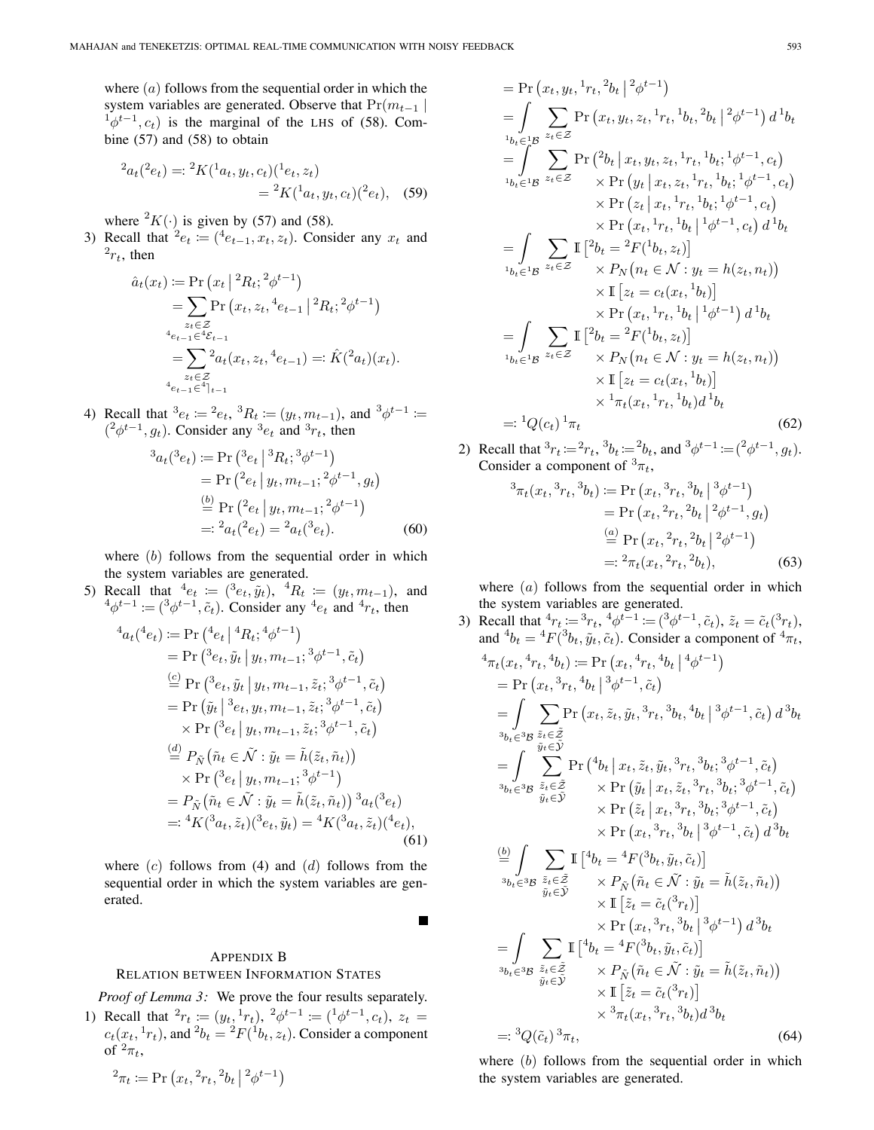where  $(a)$  follows from the sequential order in which the system variables are generated. Observe that  $Pr(m_{t-1} |$  $\phi^{t-1}$ ,  $c_t$ ) is the marginal of the LHS of (58). Combine (57) and (58) to obtain

$$
{}^{2}a_{t}( {}^{2}e_{t}) = : {}^{2}K({}^{1}a_{t}, y_{t}, c_{t})({}^{1}e_{t}, z_{t})
$$
  

$$
= {}^{2}K({}^{1}a_{t}, y_{t}, c_{t})({}^{2}e_{t}), \quad (59)
$$

where  ${}^2K(.)$  is given by (57) and (58).

3) Recall that  $e_t := (e_{t-1}, x_t, z_t)$ . Consider any  $x_t$  and  $2r_t$ , then

$$
\hat{a}_t(x_t) := \Pr(x_t | {}^2R_t; {}^2\phi^{t-1})
$$
  
\n
$$
= \sum_{z_t \in \mathcal{Z}} \Pr(x_t, z_t, {}^4e_{t-1} | {}^2R_t; {}^2\phi^{t-1})
$$
  
\n
$$
{}^4e_{t-1} \in {}^4\varepsilon_{t-1}
$$
  
\n
$$
= \sum_{z_t \in \mathcal{Z}} {}^2a_t(x_t, z_t, {}^4e_{t-1}) =: \hat{K}({}^2a_t)(x_t).
$$

4) Recall that  ${}^3e_t := {}^2e_t$ ,  ${}^3R_t := (y_t, m_{t-1})$ , and  ${}^3\phi^{t-1} :=$  $({}^2\phi^{t-1}, g_t)$ . Consider any  ${}^3e_t$  and  ${}^3r_t$ , then

$$
{}^{3}a_{t}({}^{3}e_{t}) \coloneqq \Pr\left({}^{3}e_{t} \mid {}^{3}R_{t}; {}^{3}\phi^{t-1}\right) \n= \Pr\left({}^{2}e_{t} \mid y_{t}, m_{t-1}; {}^{2}\phi^{t-1}, g_{t}\right) \n\stackrel{(b)}{=} \Pr\left({}^{2}e_{t} \mid y_{t}, m_{t-1}; {}^{2}\phi^{t-1}\right) \n=: {}^{2}a_{t}({}^{2}e_{t}) = {}^{2}a_{t}({}^{3}e_{t}).
$$
\n(60)

where  $(b)$  follows from the sequential order in which the system variables are generated.

5) Recall that  ${}^4e_t := ({}^3e_t, \tilde{y}_t), \ {}^4R_t := (y_t, m_{t-1}),$  and  $^4\phi^{t-1} \coloneqq (^3\phi^{t-1}, \tilde{c}_t)$ . Consider any  $^4e_t$  and  $^4r_t$ , then

$$
{}^{4}a_{t}({}^{4}e_{t}) \coloneqq \Pr\left({}^{4}e_{t} \mid {}^{4}R_{t}; {}^{4}\phi^{t-1}\right)
$$
\n
$$
= \Pr\left({}^{3}e_{t}, \tilde{y}_{t} \mid y_{t}, m_{t-1}; {}^{3}\phi^{t-1}, \tilde{c}_{t}\right)
$$
\n
$$
\stackrel{(c)}{=} \Pr\left({}^{3}e_{t}, \tilde{y}_{t} \mid y_{t}, m_{t-1}, \tilde{z}_{t}; {}^{3}\phi^{t-1}, \tilde{c}_{t}\right)
$$
\n
$$
= \Pr\left(\tilde{y}_{t} \mid {}^{3}e_{t}, y_{t}, m_{t-1}, \tilde{z}_{t}; {}^{3}\phi^{t-1}, \tilde{c}_{t}\right)
$$
\n
$$
\times \Pr\left({}^{3}e_{t} \mid y_{t}, m_{t-1}, \tilde{z}_{t}; {}^{3}\phi^{t-1}, \tilde{c}_{t}\right)
$$
\n
$$
\stackrel{(d)}{=} P_{\tilde{N}}\left(\tilde{n}_{t} \in \tilde{\mathcal{N}} : \tilde{y}_{t} = \tilde{h}(\tilde{z}_{t}, \tilde{n}_{t})\right)
$$
\n
$$
\times \Pr\left({}^{3}e_{t} \mid y_{t}, m_{t-1}; {}^{3}\phi^{t-1}\right)
$$
\n
$$
= P_{\tilde{N}}\left(\tilde{n}_{t} \in \tilde{\mathcal{N}} : \tilde{y}_{t} = \tilde{h}(\tilde{z}_{t}, \tilde{n}_{t})\right){}^{3}a_{t}({}^{3}e_{t})
$$
\n
$$
= : {}^{4}K({}^{3}a_{t}, \tilde{z}_{t})({}^{3}e_{t}, \tilde{y}_{t}) = {}^{4}K({}^{3}a_{t}, \tilde{z}_{t})({}^{4}e_{t}),
$$
\n(61)

where  $(c)$  follows from (4) and  $(d)$  follows from the sequential order in which the system variables are generated.

 $\blacksquare$ 

# APPENDIX B RELATION BETWEEN INFORMATION STATES

*Proof of Lemma 3:* We prove the four results separately. 1) Recall that  ${}^{2}r_{t} := (y_{t}, {}^{1}r_{t}), {}^{2}\phi^{t-1} := ({}^{1}\phi^{t-1}, c_{t}), z_{t}$ 

 $c_t(x_t, {}^1r_t)$ , and  ${}^2b_t = {}^2F({}^1b_t, z_t)$ . Consider a component of  ${}^2\pi_t$ ,

$$
{}^{2}\pi_{t} := \Pr(x_{t}, {}^{2}r_{t}, {}^{2}b_{t} | {}^{2}\phi^{t-1})
$$

 $= \Pr(x_t, y_t, \frac{1}{t}, t^2b_t | \frac{2}{\phi^{t-1}})$  $=$   $\overline{ }$  $1b_t\in B^1$  $\sum$  $z_t \in \mathcal{Z}$  $Pr(x_t, y_t, z_t, \frac{1}{2}r_t, \frac{1}{2}b_t, \frac{2}{6}b_t | \frac{2}{6}t^{-1}) d \frac{1}{6}t$  $=$   $\frac{1}{2}$  $^{1}b_{t} \in {}^{1}\mathcal{B}$  $\sum$ zt∈Z  $\Pr\left({}^2b_t\,|\,x_t,y_t,z_t, {}^1r_t, {}^1b_t; {}^1\phi^{t-1},c_t\right)$  $\times \Pr(y_t | x_t, z_t, \frac{1}{t}r_t, \frac{1}{t}b_t; \frac{1}{t}b^{t-1}, c_t)$  $\times \Pr(z_t | x_t, \frac{1}{r_t}, \frac{1}{b_t}; \frac{1}{\phi^{t-1}}, c_t)$ - $\times$  Pr  $(x_t, {}^1r_t, {}^1b_t | {}^1\phi^{t-1}, c_t) d {}^1b_t$ - $= |$  $^{1}b_{t} \in {}^{1}\mathcal{B}$  $\sum$ zt∈Z  $\mathbb{I} \left[ {}^{2}b_{t} = {}^{2}F({}^{1}b_{t}, z_{t}) \right]$  $\times P_N(n_t \in \mathcal{N}: y_t = h(z_t, n_t))$  $\times \mathbb{I}\left[z_t = c_t(x_t, {}^1b_t)\right]$  $\times$  Pr  $(x_t, {}^1r_t, {}^1b_t | {}^1\phi^{t-1}) d {}^1b_t$ - $= |$  $^{1}b_{t} \in {}^{1}\mathcal{B}$  $\sum$ zt∈Z  $\mathbb{I} \left[ {}^{2}b_{t} = {}^{2}F({}^{1}b_{t}, z_{t}) \right]$  $\times P_N(n_t \in \mathcal{N}: y_t = h(z_t, n_t))$  $\times \mathbb{I} \left[ z_t = c_t(x_t, \,^1b_t) \right]$  $\times \frac{1}{\pi_t}(x_t, \frac{1}{t}, t, \frac{1}{b_t})d^1b_t$  $=: {}^{1}Q(c_{t})$  $1_{\pi_t}$  (62)

2) Recall that  ${}^{3}r_{t} := {}^{2}r_{t}$ ,  ${}^{3}b_{t} := {}^{2}b_{t}$ , and  ${}^{3}\phi^{t-1} := ({}^{2}\phi^{t-1}, g_{t})$ . Consider a component of  ${}^{3}\pi_t$ ,

$$
{}^{3}\pi_{t}(x_{t}, {}^{3}r_{t}, {}^{3}b_{t}) \coloneqq \Pr(x_{t}, {}^{3}r_{t}, {}^{3}b_{t} | {}^{3}\phi^{t-1})
$$
  
\n
$$
= \Pr(x_{t}, {}^{2}r_{t}, {}^{2}b_{t} | {}^{2}\phi^{t-1}, g_{t})
$$
  
\n
$$
\stackrel{(a)}{=} \Pr(x_{t}, {}^{2}r_{t}, {}^{2}b_{t} | {}^{2}\phi^{t-1})
$$
  
\n
$$
= : {}^{2}\pi_{t}(x_{t}, {}^{2}r_{t}, {}^{2}b_{t}),
$$
 (63)

where  $(a)$  follows from the sequential order in which the system variables are generated.

3) Recall that  ${}^4r_t := {}^3r_t, {}^4\phi^{t-1} := ({}^3\phi^{t-1}, \tilde{c}_t), \tilde{z}_t = \tilde{c}_t({}^3r_t),$ and  ${}^4b_t = {}^4F({}^3b_t, \tilde{y}_t, \tilde{c}_t)$ . Consider a component of  ${}^4\pi_t$ ,  ${}^4\pi_t(x_t, {}^4r_t, {}^4b_t) := \Pr(x_t, {}^4r_t, {}^4b_t | {}^4\phi^{t-1})$  $= Pr(x_t, {}^{3}r_t, {}^{4}b_t | {}^{3}\phi^{t-1}, \tilde{c}_t)$ - $= |$  ${}^3b_t\in {}^3\mathcal{B}$  $\sum$  $\tilde{z}_t$ ∈ $\tilde{\mathcal{Z}}$  $\tilde{y}_t \in \tilde{\mathcal{Y}}$  $Pr(x_t, \tilde{z}_t, \tilde{y}_t, {}^3r_t, {}^3b_t, {}^4b_t | {}^3\phi^{t-1}, \tilde{c}_t) d {}^3b_t$  $= |$  ${}^3b_t\in {}^3\mathcal{B}$  $\sum$  $\tilde{z}_t \! \in \! \tilde{\mathcal{Z}}$  $\tilde{y}_t \in \tilde{\mathcal{Y}}$  $\Pr\left({}^4b_t\,|\,x_t,\tilde{z}_t,\tilde{y}_t,{}^3r_t,{}^3b_t;{}^3\phi^{t-1},\tilde{c}_t\right)$  $\times \Pr\left(\tilde{y}_t | x_t, \tilde{z}_t, \frac{3r_t}{3}t_t, \frac{3}{6}t^{-1}, \tilde{c}_t\right)$  $\times \Pr\left(\tilde{z}_t | x_t, \frac{3r_t}{3} , \frac{3}{6} t^{-1}, \tilde{c}_t\right)$  $\overline{\phantom{a}}$  $\times$  Pr  $(x_t, {}^3r_t, {}^3b_t | {}^3\phi^{t-1}, \tilde{c}_t) d {}^3b_t$  $\stackrel{(b)}{=}$  ${}^3b_t\in {}^3\mathcal{B}$  $\sum$  $\tilde{z}_t$ ∈ $\tilde{\mathcal{Z}}$  ${\tilde{y}}_t{\in}{\tilde{\mathcal{Y}}}$  $\mathbb{I} \left[ {}^4b_t = {}^4F({}^3b_t, \tilde{y}_t, \tilde{c}_t) \right]$  $\times$   $P_{\tilde{N}}(\tilde{n}_t \in \tilde{\mathcal{N}} : \tilde{y}_t = \tilde{h}(\tilde{z}_t, \tilde{n}_t))$  $\times \mathbb{I}\left[\tilde{z}_t = \tilde{c}_t({}^3r_t)\right]$  $\times$  Pr  $(x_t, {}^3r_t, {}^3b_t | {}^3\phi^{t-1}) d {}^3b_t$  $= |$  ${}^3b_t\in {}^3\mathcal{B}$  $\sum$  $\tilde{z}_t$ ∈ $\tilde{\mathcal{Z}}$  $\tilde{y}_t$ ∈ $\tilde{\mathcal{Y}}$  $\mathbb{I} \left[ {}^4b_t = {}^4F({}^3b_t, \tilde{y}_t, \tilde{c}_t) \right]$  $\times\,P_{\tilde{N}}\!\left(\tilde{n}_t\in\tilde{\mathcal{N}}:\tilde{y}_t=\tilde{h}(\tilde{z}_t,\tilde{n}_t)\right)$  $\times \mathbb{I} \left[ \tilde{z}_t = \tilde{c}_t({}^3r_t) \right]$  $\times \, {}^3\pi_t(x_t, {}^3r_t, {}^3b_t) d \, {}^3b_t$  $=: {}^3Q(\tilde{c}_t)$  ${}^3\pi_t,$  (64)

where  $(b)$  follows from the sequential order in which the system variables are generated.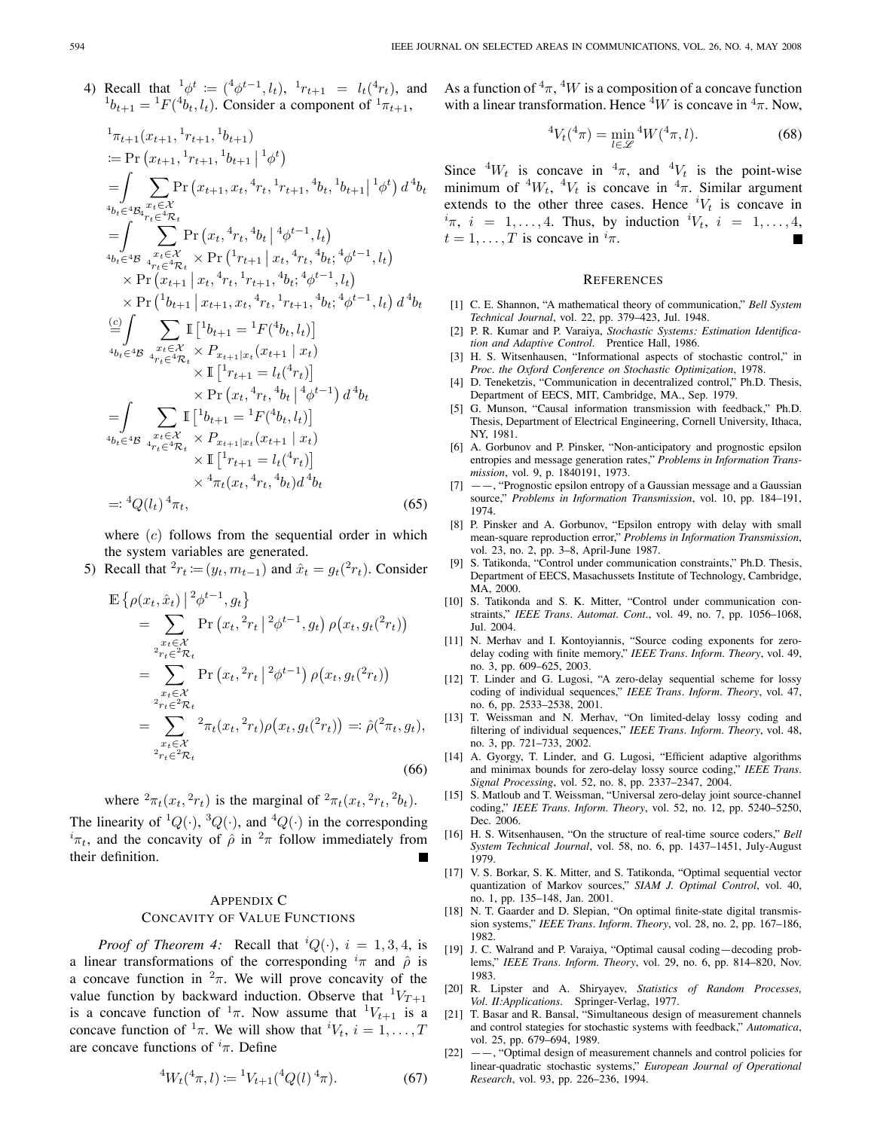4) Recall that 
$$
{}^1\phi^t := ({}^4\phi^{t-1}, l_t), {}^1r_{t+1} = l_t({}^4r_t),
$$
 an  ${}^1b_{t+1} = {}^1F({}^4b_t, l_t)$ . Consider a component of  ${}^1\pi_{t+1}$ ,

$$
{}_{\pi_{t+1}}(x_{t+1}, {}_{r_{t+1}}, {}_{b_{t+1}})
$$
\n
$$
:= \Pr(x_{t+1}, {}_{r_{t+1}}, {}_{b_{t+1}} | {}_{b\phi})
$$
\n
$$
= \int \sum_{\substack{a,b \in \mathcal{A} \\ a_{b}} \in \mathcal{A} \\ a_{b}} \Pr(x_{t+1}, x_{t}, {}_{r_{t+1}}, {}_{r_{t+1}}, {}_{b\phi}) d^4b_{t}
$$
\n
$$
= \int \sum_{\substack{a,b \in \mathcal{A} \\ b,b \in \mathcal{A} \\ b,c \in \mathcal{B}}} \Pr(x_{t}, {}_{r_{t},} {}_{b\phi}|^4 \phi^{t-1}, l_{t})
$$
\n
$$
= \int \sum_{\substack{b,c \in \mathcal{X} \\ b,c \in \mathcal{B} \\ a}} \Pr(x_{t}, {}_{r_{t},} {}_{b\phi}|^4 \phi^{t-1}, l_{t})
$$
\n
$$
\times \Pr(x_{t+1} | x_{t}, {}_{r_{t+1}}, {}_{b\phi}; {}_{b\phi} {}_{b\phi} {}_{b\phi} {}_{b\phi} {}_{b\phi} {}_{b\phi} {}_{b\phi} {}_{b\phi} {}_{b\phi} {}_{b\phi} {}_{b\phi} {}_{b\phi} {}_{b\phi} {}_{b\phi} {}_{b\phi} {}_{b\phi} {}_{b\phi} {}_{b\phi} {}_{b\phi} {}_{b\phi} {}_{b\phi} {}_{b\phi} {}_{b\phi} {}_{b\phi} {}_{b\phi} {}_{b\phi} {}_{b\phi} {}_{b\phi} {}_{b\phi} {}_{b\phi} {}_{b\phi} {}_{b\phi} {}_{b\phi} {}_{b\phi} {}_{b\phi} {}_{b\phi} {}_{b\phi} {}_{b\phi} {}_{b\phi} {}_{b\phi} {}_{b\phi} {}_{b\phi} {}_{b\phi} {}_{b\phi} {}_{b\phi} {}_{b\phi} {}_{b\phi} {}_{b\phi} {}_{b\phi} {}_{b\phi} {}_{b\phi} {}_{b\phi} {}_{b\phi} {}_{b\phi} {}_{b\phi} {}_{b\phi} {}_{b\phi} {}_{b\phi} {}_{b\phi} {}_{b\phi} {}_{b\phi} {}_{b\phi} {}_{b\phi} {}_{b\phi} {}_{b\phi} {}_{b\phi} {}_{b
$$

where  $(c)$  follows from the sequential order in which the system variables are generated.

5) Recall that  ${}^{2}r_{t} := (y_{t}, m_{t-1})$  and  $\hat{x}_{t} = g_{t}(z_{rt})$ . Consider

$$
\mathbb{E}\left\{\rho(x_t, \hat{x}_t)\Big|^{2}\phi^{t-1}, g_t\right\}\n= \sum_{\substack{x_t \in \mathcal{X} \\ 2r_t \in \mathcal{P}_{t}}} \Pr\left(x_t, {}^{2}r_t\Big|^{2}\phi^{t-1}, g_t\right) \rho(x_t, g_t({}^{2}r_t))\n= \sum_{\substack{x_t \in \mathcal{X} \\ 2r_t \in \mathcal{P}_{t}}} \Pr\left(x_t, {}^{2}r_t\Big|^{2}\phi^{t-1}\right) \rho(x_t, g_t({}^{2}r_t))\n= \sum_{\substack{x_t \in \mathcal{X} \\ 2r_t \in \mathcal{P}_{t}}} {}^{2}\pi_t(x_t, {}^{2}r_t) \rho(x_t, g_t({}^{2}r_t)) =: \hat{\rho}({}^{2}\pi_t, g_t),
$$
\n(66)

where 
$$
{}^2\pi_t(x_t, {}^2r_t)
$$
 is the marginal of  ${}^2\pi_t(x_t, {}^2r_t, {}^2b_t)$ .

The linearity of  ${}^{1}Q(\cdot)$ ,  ${}^{3}Q(\cdot)$ , and  ${}^{4}Q(\cdot)$  in the corresponding  $i_{\pi t}$ , and the concavity of  $\hat{\rho}$  in  $^2\pi$  follow immediately from their definition.

# APPENDIX C CONCAVITY OF VALUE FUNCTIONS

*Proof of Theorem 4:* Recall that  ${}^{i}Q(\cdot), i = 1, 3, 4$ , is a linear transformations of the corresponding  $\pi$  and  $\hat{\rho}$  is a concave function in  $^2\pi$ . We will prove concavity of the value function by backward induction. Observe that  ${}^{1}V_{T+1}$ is a concave function of  $\frac{1}{\pi}$ . Now assume that  $\frac{1}{V_{t+1}}$  is a concave function of  ${}^1\pi$ . We will show that  ${}^iV_t$ ,  $i = 1, \ldots, T$ are concave functions of  $i\pi$ . Define

$$
{}^{4}W_{t}({}^{4}\pi, l) := {}^{1}V_{t+1}({}^{4}Q(l) {}^{4}\pi). \tag{67}
$$

 $r_t$ ), and As a function of  ${}^4\pi, {}^4W$  is a composition of a concave function with a linear transformation. Hence  ${}^{4}W$  is concave in  ${}^{4}\pi$ . Now,

$$
{}^{4}V_{t}({}^{4}\pi) = \min_{l \in \mathscr{L}} {}^{4}W({}^{4}\pi, l). \tag{68}
$$

Since  ${}^{4}W_t$  is concave in  ${}^{4}\pi$ , and  ${}^{4}V_t$  is the point-wise minimum of  ${}^4W_t$ ,  ${}^4V_t$  is concave in  ${}^4\pi$ . Similar argument extends to the other three cases. Hence  ${}^{i}V_{t}$  is concave in  $i\pi$ ,  $i = 1, \ldots, 4$ . Thus, by induction  $iV_t$ ,  $i = 1, \ldots, 4$ ,  $t = 1, \ldots, T$  is concave in  $i_{\pi}$ .

#### **REFERENCES**

- [1] C. E. Shannon, "A mathematical theory of communication," *Bell System Technical Journal*, vol. 22, pp. 379–423, Jul. 1948.
- [2] P. R. Kumar and P. Varaiya, *Stochastic Systems: Estimation Identification and Adaptive Control*. Prentice Hall, 1986.
- [3] H. S. Witsenhausen, "Informational aspects of stochastic control," in *Proc. the Oxford Conference on Stochastic Optimization*, 1978.
- [4] D. Teneketzis, "Communication in decentralized control," Ph.D. Thesis, Department of EECS, MIT, Cambridge, MA., Sep. 1979.
- [5] G. Munson, "Causal information transmission with feedback," Ph.D. Thesis, Department of Electrical Engineering, Cornell University, Ithaca, NY, 1981.
- [6] A. Gorbunov and P. Pinsker, "Non-anticipatory and prognostic epsilon entropies and message generation rates," *Problems in Information Transmission*, vol. 9, p. 1840191, 1973.
- [7] ——, "Prognostic epsilon entropy of a Gaussian message and a Gaussian source," *Problems in Information Transmission*, vol. 10, pp. 184–191, 1974.
- [8] P. Pinsker and A. Gorbunov, "Epsilon entropy with delay with small mean-square reproduction error," *Problems in Information Transmission*, vol. 23, no. 2, pp. 3–8, April-June 1987.
- [9] S. Tatikonda, "Control under communication constraints," Ph.D. Thesis, Department of EECS, Masachussets Institute of Technology, Cambridge, MA<sub>2000</sub>
- [10] S. Tatikonda and S. K. Mitter, "Control under communication constraints," *IEEE Trans. Automat. Cont.*, vol. 49, no. 7, pp. 1056–1068, Jul. 2004.
- [11] N. Merhav and I. Kontoyiannis, "Source coding exponents for zerodelay coding with finite memory," *IEEE Trans. Inform. Theory*, vol. 49, no. 3, pp. 609–625, 2003.
- [12] T. Linder and G. Lugosi, "A zero-delay sequential scheme for lossy coding of individual sequences," *IEEE Trans. Inform. Theory*, vol. 47, no. 6, pp. 2533–2538, 2001.
- [13] T. Weissman and N. Merhav, "On limited-delay lossy coding and filtering of individual sequences," *IEEE Trans. Inform. Theory*, vol. 48, no. 3, pp. 721–733, 2002.
- [14] A. Gyorgy, T. Linder, and G. Lugosi, "Efficient adaptive algorithms and minimax bounds for zero-delay lossy source coding," *IEEE Trans. Signal Processing*, vol. 52, no. 8, pp. 2337–2347, 2004.
- [15] S. Matloub and T. Weissman, "Universal zero-delay joint source-channel coding," *IEEE Trans. Inform. Theory*, vol. 52, no. 12, pp. 5240–5250, Dec. 2006.
- [16] H. S. Witsenhausen, "On the structure of real-time source coders," *Bell System Technical Journal*, vol. 58, no. 6, pp. 1437–1451, July-August 1979.
- [17] V. S. Borkar, S. K. Mitter, and S. Tatikonda, "Optimal sequential vector quantization of Markov sources," *SIAM J. Optimal Control*, vol. 40, no. 1, pp. 135–148, Jan. 2001.
- [18] N. T. Gaarder and D. Slepian, "On optimal finite-state digital transmission systems," *IEEE Trans. Inform. Theory*, vol. 28, no. 2, pp. 167–186, 1982.
- [19] J. C. Walrand and P. Varaiya, "Optimal causal coding-decoding problems," *IEEE Trans. Inform. Theory*, vol. 29, no. 6, pp. 814–820, Nov. 1983.
- [20] R. Lipster and A. Shiryayev, *Statistics of Random Processes, Vol. II:Applications*. Springer-Verlag, 1977.
- [21] T. Basar and R. Bansal, "Simultaneous design of measurement channels and control stategies for stochastic systems with feedback," *Automatica*, vol. 25, pp. 679–694, 1989.
- $[22]$  --, "Optimal design of measurement channels and control policies for linear-quadratic stochastic systems," *European Journal of Operational Research*, vol. 93, pp. 226–236, 1994.